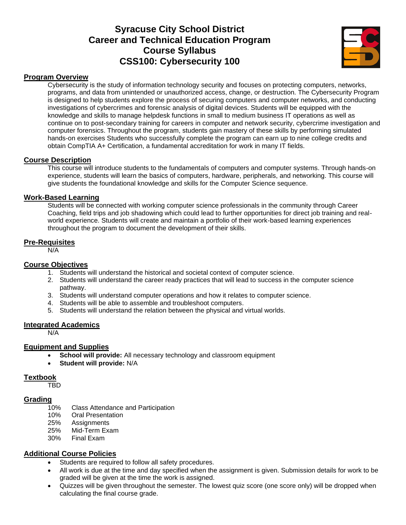# **Syracuse City School District Career and Technical Education Program Course Syllabus CSS100: Cybersecurity 100**



#### **Program Overview**

Cybersecurity is the study of information technology security and focuses on protecting computers, networks, programs, and data from unintended or unauthorized access, change, or destruction. The Cybersecurity Program is designed to help students explore the process of securing computers and computer networks, and conducting investigations of cybercrimes and forensic analysis of digital devices. Students will be equipped with the knowledge and skills to manage helpdesk functions in small to medium business IT operations as well as continue on to post-secondary training for careers in computer and network security, cybercrime investigation and computer forensics. Throughout the program, students gain mastery of these skills by performing simulated hands-on exercises Students who successfully complete the program can earn up to nine college credits and obtain CompTIA A+ Certification, a fundamental accreditation for work in many IT fields.

### **Course Description**

This course will introduce students to the fundamentals of computers and computer systems. Through hands-on experience, students will learn the basics of computers, hardware, peripherals, and networking. This course will give students the foundational knowledge and skills for the Computer Science sequence.

#### **Work-Based Learning**

Students will be connected with working computer science professionals in the community through Career Coaching, field trips and job shadowing which could lead to further opportunities for direct job training and realworld experience. Students will create and maintain a portfolio of their work-based learning experiences throughout the program to document the development of their skills.

#### **Pre-Requisites**

N/A

#### **Course Objectives**

- 1. Students will understand the historical and societal context of computer science.
- 2. Students will understand the career ready practices that will lead to success in the computer science pathway.
- 3. Students will understand computer operations and how it relates to computer science.
- 4. Students will be able to assemble and troubleshoot computers.
- 5. Students will understand the relation between the physical and virtual worlds.

#### **Integrated Academics**

N/A

### **Equipment and Supplies**

- **School will provide:** All necessary technology and classroom equipment
- **Student will provide:** N/A

#### **Textbook**

TBD

#### **Grading**

- 10% Class Attendance and Participation
- 10% Oral Presentation
- 25% Assignments
- 25% Mid-Term Exam
- 30% Final Exam

# **Additional Course Policies**

- Students are required to follow all safety procedures.
- All work is due at the time and day specified when the assignment is given. Submission details for work to be graded will be given at the time the work is assigned.
- Quizzes will be given throughout the semester. The lowest quiz score (one score only) will be dropped when calculating the final course grade.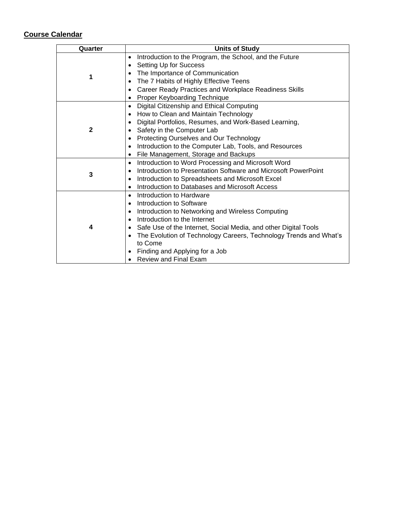| Quarter      | <b>Units of Study</b>                                             |
|--------------|-------------------------------------------------------------------|
|              | Introduction to the Program, the School, and the Future           |
|              | Setting Up for Success                                            |
| 1            | The Importance of Communication                                   |
|              | The 7 Habits of Highly Effective Teens                            |
|              | Career Ready Practices and Workplace Readiness Skills             |
|              | Proper Keyboarding Technique                                      |
|              | Digital Citizenship and Ethical Computing                         |
|              | How to Clean and Maintain Technology                              |
|              | Digital Portfolios, Resumes, and Work-Based Learning,             |
| $\mathbf{2}$ | Safety in the Computer Lab                                        |
|              | Protecting Ourselves and Our Technology                           |
|              | Introduction to the Computer Lab, Tools, and Resources            |
|              | File Management, Storage and Backups                              |
|              | Introduction to Word Processing and Microsoft Word                |
| 3            | Introduction to Presentation Software and Microsoft PowerPoint    |
|              | Introduction to Spreadsheets and Microsoft Excel                  |
|              | Introduction to Databases and Microsoft Access                    |
|              | Introduction to Hardware                                          |
|              | Introduction to Software                                          |
|              | Introduction to Networking and Wireless Computing                 |
|              | Introduction to the Internet                                      |
| 4            | Safe Use of the Internet, Social Media, and other Digital Tools   |
|              | The Evolution of Technology Careers, Technology Trends and What's |
|              | to Come                                                           |
|              | Finding and Applying for a Job                                    |
|              | <b>Review and Final Exam</b>                                      |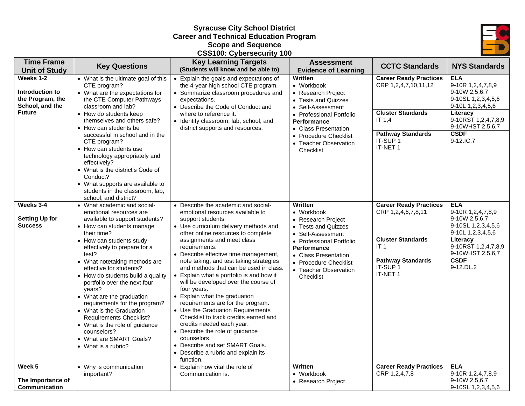# **Syracuse City School District Career and Technical Education Program Scope and Sequence CSS100: Cybersecurity 100**



| <b>Time Frame</b>                                                                    |                                                                                                                                                                                                                                                                                                                                                                                                                                                                                                                                                                              | <b>Key Learning Targets</b>                                                                                                                                                                                                                                                                                                                                                                                                                                                                                                                                                                                                                                                                                                                                                           | <b>Assessment</b>                                                                                                                                                                                                                |                                                                                                                                                                   |                                                                                                                                                                                |
|--------------------------------------------------------------------------------------|------------------------------------------------------------------------------------------------------------------------------------------------------------------------------------------------------------------------------------------------------------------------------------------------------------------------------------------------------------------------------------------------------------------------------------------------------------------------------------------------------------------------------------------------------------------------------|---------------------------------------------------------------------------------------------------------------------------------------------------------------------------------------------------------------------------------------------------------------------------------------------------------------------------------------------------------------------------------------------------------------------------------------------------------------------------------------------------------------------------------------------------------------------------------------------------------------------------------------------------------------------------------------------------------------------------------------------------------------------------------------|----------------------------------------------------------------------------------------------------------------------------------------------------------------------------------------------------------------------------------|-------------------------------------------------------------------------------------------------------------------------------------------------------------------|--------------------------------------------------------------------------------------------------------------------------------------------------------------------------------|
| <b>Unit of Study</b>                                                                 | <b>Key Questions</b>                                                                                                                                                                                                                                                                                                                                                                                                                                                                                                                                                         | (Students will know and be able to)                                                                                                                                                                                                                                                                                                                                                                                                                                                                                                                                                                                                                                                                                                                                                   | <b>Evidence of Learning</b>                                                                                                                                                                                                      | <b>CCTC Standards</b>                                                                                                                                             | <b>NYS Standards</b>                                                                                                                                                           |
| Weeks 1-2<br>Introduction to<br>the Program, the<br>School, and the<br><b>Future</b> | • What is the ultimate goal of this<br>CTE program?<br>• What are the expectations for<br>the CTE Computer Pathways<br>classroom and lab?<br>• How do students keep                                                                                                                                                                                                                                                                                                                                                                                                          | • Explain the goals and expectations of<br>the 4-year high school CTE program.<br>• Summarize classroom procedures and<br>expectations.<br>• Describe the Code of Conduct and<br>where to reference it.                                                                                                                                                                                                                                                                                                                                                                                                                                                                                                                                                                               | <b>Written</b><br>• Workbook<br>• Research Project<br>• Tests and Quizzes<br>• Self-Assessment<br>• Professional Portfolio                                                                                                       | <b>Career Ready Practices</b><br>CRP 1,2,4,7,10,11,12<br><b>Cluster Standards</b>                                                                                 | <b>ELA</b><br>9-10R 1,2,4,7,8,9<br>9-10W 2,5,6,7<br>9-10SL 1,2,3,4,5,6<br>$9-10L$ 1,2,3,4,5,6<br>Literacy                                                                      |
|                                                                                      | themselves and others safe?<br>• How can students be<br>successful in school and in the<br>CTE program?<br>• How can students use<br>technology appropriately and<br>effectively?<br>• What is the district's Code of<br>Conduct?<br>• What supports are available to<br>students in the classroom, lab,<br>school, and district?                                                                                                                                                                                                                                            | • Identify classroom, lab, school, and<br>district supports and resources.                                                                                                                                                                                                                                                                                                                                                                                                                                                                                                                                                                                                                                                                                                            | <b>Performance</b><br>• Class Presentation<br>• Procedure Checklist<br>• Teacher Observation<br>Checklist                                                                                                                        | IT 1.4<br><b>Pathway Standards</b><br>IT-SUP 1<br>IT-NET 1                                                                                                        | 9-10RST 1,2,4,7,8,9<br>9-10WHST 2,5,6,7<br><b>CSDF</b><br>9-12.IC.7                                                                                                            |
| Weeks 3-4<br><b>Setting Up for</b><br><b>Success</b>                                 | • What academic and social-<br>emotional resources are<br>available to support students?<br>• How can students manage<br>their time?<br>• How can students study<br>effectively to prepare for a<br>test?<br>• What notetaking methods are<br>effective for students?<br>• How do students build a quality<br>portfolio over the next four<br>years?<br>• What are the graduation<br>requirements for the program?<br>• What is the Graduation<br>Requirements Checklist?<br>• What is the role of guidance<br>counselors?<br>• What are SMART Goals?<br>• What is a rubric? | • Describe the academic and social-<br>emotional resources available to<br>support students.<br>• Use curriculum delivery methods and<br>other online resources to complete<br>assignments and meet class<br>requirements.<br>• Describe effective time management,<br>note taking, and test taking strategies<br>and methods that can be used in class.<br>• Explain what a portfolio is and how it<br>will be developed over the course of<br>four years.<br>• Explain what the graduation<br>requirements are for the program.<br>• Use the Graduation Requirements<br>Checklist to track credits earned and<br>credits needed each year.<br>• Describe the role of guidance<br>counselors.<br>• Describe and set SMART Goals.<br>• Describe a rubric and explain its<br>function. | Written<br>• Workbook<br>• Research Project<br>• Tests and Quizzes<br>• Self-Assessment<br>• Professional Portfolio<br><b>Performance</b><br>• Class Presentation<br>• Procedure Checklist<br>• Teacher Observation<br>Checklist | <b>Career Ready Practices</b><br>CRP 1,2,4,6,7,8,11<br><b>Cluster Standards</b><br>IT <sub>1</sub><br><b>Pathway Standards</b><br>IT-SUP <sub>1</sub><br>IT-NET 1 | <b>ELA</b><br>9-10R 1,2,4,7,8,9<br>9-10W 2,5,6,7<br>9-10SL 1,2,3,4,5,6<br>9-10L 1,2,3,4,5,6<br>Literacy<br>9-10RST 1,2,4,7,8,9<br>9-10WHST 2,5,6,7<br><b>CSDF</b><br>9-12.DL.2 |
| Week 5<br>The Importance of<br>Communication                                         | • Why is communication<br>important?                                                                                                                                                                                                                                                                                                                                                                                                                                                                                                                                         | • Explain how vital the role of<br>Communication is.                                                                                                                                                                                                                                                                                                                                                                                                                                                                                                                                                                                                                                                                                                                                  | <b>Written</b><br>• Workbook<br>• Research Project                                                                                                                                                                               | <b>Career Ready Practices</b><br>CRP 1,2,4,7,8                                                                                                                    | <b>ELA</b><br>9-10R 1,2,4,7,8,9<br>9-10W 2,5,6,7<br>9-10SL 1,2,3,4,5,6                                                                                                         |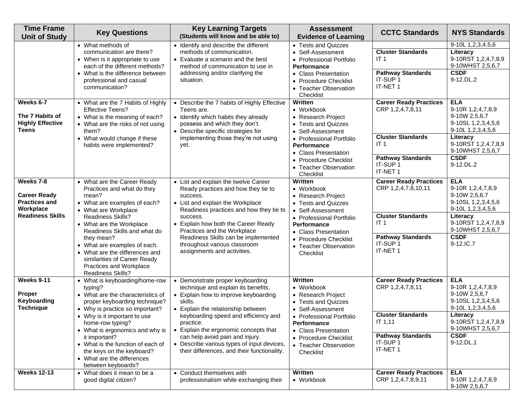| <b>Time Frame</b><br><b>Unit of Study</b>                                                        | <b>Key Questions</b>                                                                                                                                                                                                                                                                                                                                                               | <b>Key Learning Targets</b><br>(Students will know and be able to)                                                                                                                                                                                                                                                                                                                             | <b>Assessment</b><br><b>Evidence of Learning</b>                                                                                                                                                                                 | <b>CCTC Standards</b>                                                                                                                                   | <b>NYS Standards</b>                                                                                                                                                           |
|--------------------------------------------------------------------------------------------------|------------------------------------------------------------------------------------------------------------------------------------------------------------------------------------------------------------------------------------------------------------------------------------------------------------------------------------------------------------------------------------|------------------------------------------------------------------------------------------------------------------------------------------------------------------------------------------------------------------------------------------------------------------------------------------------------------------------------------------------------------------------------------------------|----------------------------------------------------------------------------------------------------------------------------------------------------------------------------------------------------------------------------------|---------------------------------------------------------------------------------------------------------------------------------------------------------|--------------------------------------------------------------------------------------------------------------------------------------------------------------------------------|
|                                                                                                  | • What methods of<br>communication are there?<br>• When is it appropriate to use<br>each of the different methods?<br>• What is the difference between<br>professional and casual<br>communication?                                                                                                                                                                                | • Identify and describe the different<br>methods of communication.<br>• Evaluate a scenario and the best<br>method of communication to use in<br>addressing and/or clarifying the<br>situation.                                                                                                                                                                                                | • Tests and Quizzes<br>• Self-Assessment<br>• Professional Portfolio<br><b>Performance</b><br>• Class Presentation<br>• Procedure Checklist<br>• Teacher Observation<br>Checklist                                                | <b>Cluster Standards</b><br>IT <sub>1</sub><br><b>Pathway Standards</b><br>IT-SUP 1<br>IT-NET 1                                                         | 9-10L 1,2,3,4,5,6<br>Literacy<br>9-10RST 1,2,4,7,8,9<br>9-10WHST 2,5,6,7<br><b>CSDF</b><br>9-12.DL.2                                                                           |
| Weeks 6-7<br>The 7 Habits of<br><b>Highly Effective</b><br><b>Teens</b>                          | • What are the 7 Habits of Highly<br><b>Effective Teens?</b><br>• What is the meaning of each?<br>• What are the risks of not using<br>them?<br>• What would change if these<br>habits were implemented?                                                                                                                                                                           | • Describe the 7 habits of Highly Effective<br>Teens are.<br>• Identify which habits they already<br>possess and which they don't.<br>• Describe specific strategies for<br>implementing those they're not using<br>yet.                                                                                                                                                                       | Written<br>• Workbook<br>• Research Project<br>• Tests and Quizzes<br>• Self-Assessment<br>• Professional Portfolio<br><b>Performance</b><br>• Class Presentation<br>• Procedure Checklist<br>• Teacher Observation<br>Checklist | <b>Career Ready Practices</b><br>CRP 1,2,4,7,8,11<br><b>Cluster Standards</b><br>IT <sub>1</sub><br><b>Pathway Standards</b><br>IT-SUP 1<br>IT-NET 1    | <b>ELA</b><br>9-10R 1,2,4,7,8,9<br>9-10W 2,5,6,7<br>9-10SL 1,2,3,4,5,6<br>9-10L 1,2,3,4,5,6<br>Literacy<br>9-10RST 1,2,4,7,8,9<br>9-10WHST 2,5,6,7<br><b>CSDF</b><br>9-12.DL.2 |
| Weeks 7-8<br><b>Career Ready</b><br><b>Practices and</b><br>Workplace<br><b>Readiness Skills</b> | • What are the Career Ready<br>Practices and what do they<br>mean?<br>• What are examples of each?<br>• What are Workplace<br>Readiness Skills?<br>• What are the Workplace<br>Readiness Skills and what do<br>they mean?<br>• What are examples of each.<br>• What are the differences and<br>similarities of Career Ready<br>Practices and Workplace<br><b>Readiness Skills?</b> | • List and explain the twelve Career<br>Ready practices and how they tie to<br>success.<br>• List and explain the Workplace<br>Readiness practices and how they tie to<br>success.<br>• Explain how both the Career Ready<br>Practices and the Workplace<br>Readiness Skills can be implemented<br>throughout various classroom<br>assignments and activities.                                 | Written<br>• Workbook<br>• Research Project<br>• Tests and Quizzes<br>• Self-Assessment<br>• Professional Portfolio<br><b>Performance</b><br>• Class Presentation<br>• Procedure Checklist<br>• Teacher Observation<br>Checklist | <b>Career Ready Practices</b><br>CRP 1,2,4,7,8,10,11<br><b>Cluster Standards</b><br>IT <sub>1</sub><br><b>Pathway Standards</b><br>IT-SUP 1<br>IT-NET 1 | <b>ELA</b><br>9-10R 1,2,4,7,8,9<br>9-10W 2,5,6,7<br>9-10SL 1,2,3,4,5,6<br>9-10L 1,2,3,4,5,6<br>Literacy<br>9-10RST 1,2,4,7,8,9<br>9-10WHST 2,5,6,7<br><b>CSDF</b><br>9-12.IC.7 |
| Weeks 9-11<br>Proper<br>Keyboarding<br><b>Technique</b>                                          | • What is keyboarding/home-row<br>typing?<br>• What are the characteristics of<br>proper keyboarding technique?<br>• Why is practice so important?<br>• Why is it important to use<br>home-row typing?<br>• What is ergonomics and why is<br>it important?<br>• What is the function of each of<br>the keys on the keyboard?<br>• What are the differences<br>between keyboards?   | • Demonstrate proper keyboarding<br>technique and explain its benefits.<br>• Explain how to improve keyboarding<br>skills.<br>• Explain the relationship between<br>keyboarding speed and efficiency and<br>practice.<br>• Explain the ergonomic concepts that<br>can help avoid pain and injury.<br>• Describe various types of input devices,<br>their differences, and their functionality. | Written<br>• Workbook<br>• Research Project<br>• Tests and Quizzes<br>• Self-Assessment<br>• Professional Portfolio<br><b>Performance</b><br>• Class Presentation<br>• Procedure Checklist<br>• Teacher Observation<br>Checklist | <b>Career Ready Practices</b><br>CRP 1,2,4,7,8,11<br><b>Cluster Standards</b><br>IT 1,11<br><b>Pathway Standards</b><br>IT-SUP 1<br>IT-NET 1            | <b>ELA</b><br>9-10R 1,2,4,7,8,9<br>9-10W 2,5,6,7<br>9-10SL 1,2,3,4,5,6<br>9-10L 1,2,3,4,5,6<br>Literacy<br>9-10RST 1,2,4,7,8,9<br>9-10WHST 2,5,6,7<br><b>CSDF</b><br>9-12.DL.1 |
| <b>Weeks 12-13</b>                                                                               | • What does it mean to be a<br>good digital citizen?                                                                                                                                                                                                                                                                                                                               | • Conduct themselves with<br>professionalism while exchanging their                                                                                                                                                                                                                                                                                                                            | Written<br>• Workbook                                                                                                                                                                                                            | <b>Career Ready Practices</b><br>CRP 1,2,4,7,8,9,11                                                                                                     | <b>ELA</b><br>9-10R 1,2,4,7,8,9<br>9-10W 2,5,6,7                                                                                                                               |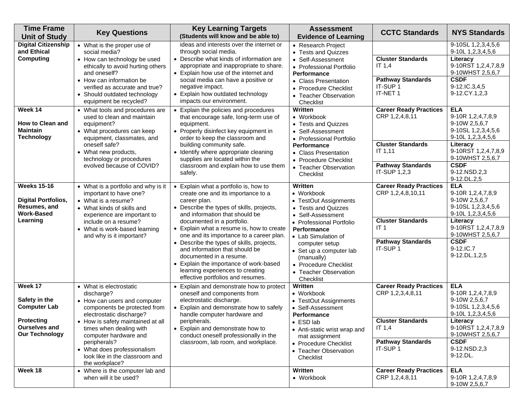| <b>Time Frame</b><br><b>Unit of Study</b>                                                                                                                  | <b>Key Questions</b>                                                                                                                                                                                                                                                                                                                                                                                                                                                                                                                                                    | <b>Key Learning Targets</b><br>(Students will know and be able to)                                                                                                                                                                                                                                                                                                                                                                                                                                                                                                                                                                                                                                                                                   | <b>Assessment</b><br><b>Evidence of Learning</b>                                                                                                                                                                                                                                                                                                                                                                                               | <b>CCTC Standards</b>                                                                                                                                                                                                                                                                       | <b>NYS Standards</b>                                                                                                                                                                                                                                                                                                                                                                   |
|------------------------------------------------------------------------------------------------------------------------------------------------------------|-------------------------------------------------------------------------------------------------------------------------------------------------------------------------------------------------------------------------------------------------------------------------------------------------------------------------------------------------------------------------------------------------------------------------------------------------------------------------------------------------------------------------------------------------------------------------|------------------------------------------------------------------------------------------------------------------------------------------------------------------------------------------------------------------------------------------------------------------------------------------------------------------------------------------------------------------------------------------------------------------------------------------------------------------------------------------------------------------------------------------------------------------------------------------------------------------------------------------------------------------------------------------------------------------------------------------------------|------------------------------------------------------------------------------------------------------------------------------------------------------------------------------------------------------------------------------------------------------------------------------------------------------------------------------------------------------------------------------------------------------------------------------------------------|---------------------------------------------------------------------------------------------------------------------------------------------------------------------------------------------------------------------------------------------------------------------------------------------|----------------------------------------------------------------------------------------------------------------------------------------------------------------------------------------------------------------------------------------------------------------------------------------------------------------------------------------------------------------------------------------|
| <b>Digital Citizenship</b><br>and Ethical<br><b>Computing</b><br>Week 14<br>How to Clean and<br><b>Maintain</b><br><b>Technology</b><br><b>Weeks 15-16</b> | • What is the proper use of<br>social media?<br>• How can technology be used<br>ethically to avoid hurting others<br>and oneself?<br>• How can information be<br>verified as accurate and true?<br>• Should outdated technology<br>equipment be recycled?<br>• What tools and procedures are<br>used to clean and maintain<br>equipment?<br>• What procedures can keep<br>equipment, classmates, and<br>oneself safe?<br>• What new products,<br>technology or procedures<br>evolved because of COVID?<br>• What is a portfolio and why is it<br>important to have one? | ideas and interests over the internet or<br>through social media.<br>• Describe what kinds of information are<br>appropriate and inappropriate to share.<br>• Explain how use of the internet and<br>social media can have a positive or<br>negative impact.<br>• Explain how outdated technology<br>impacts our environment.<br>• Explain the policies and procedures<br>that encourage safe, long-term use of<br>equipment.<br>• Properly disinfect key equipment in<br>order to keep the classroom and<br>building community safe.<br>• Identify where appropriate cleaning<br>supplies are located within the<br>classroom and explain how to use them<br>safely.<br>• Explain what a portfolio is, how to<br>create one and its importance to a | • Research Project<br>• Tests and Quizzes<br>• Self-Assessment<br>• Professional Portfolio<br><b>Performance</b><br>• Class Presentation<br>• Procedure Checklist<br>• Teacher Observation<br>Checklist<br>Written<br>• Workbook<br>• Tests and Quizzes<br>• Self-Assessment<br>• Professional Portfolio<br><b>Performance</b><br>• Class Presentation<br>• Procedure Checklist<br>• Teacher Observation<br>Checklist<br>Written<br>• Workbook | <b>Cluster Standards</b><br>IT $1,4$<br><b>Pathway Standards</b><br>IT-SUP 1<br>IT-NET 1<br><b>Career Ready Practices</b><br>CRP 1,2,4,8,11<br><b>Cluster Standards</b><br><b>IT 1,11</b><br><b>Pathway Standards</b><br>IT-SUP 1,2,3<br><b>Career Ready Practices</b><br>CRP 1,2,4,8,10,11 | 9-10SL 1,2,3,4,5,6<br>9-10L 1,2,3,4,5,6<br>Literacy<br>9-10RST 1,2,4,7,8,9<br>9-10WHST 2,5,6,7<br><b>CSDF</b><br>9-12.IC.3,4,5<br>9-12.CY.1,2,3<br><b>ELA</b><br>9-10R 1,2,4,7,8,9<br>9-10W 2,5,6,7<br>9-10SL 1,2,3,4,5,6<br>9-10L 1,2,3,4,5,6<br>Literacy<br>9-10RST 1,2,4,7,8,9<br>9-10WHST 2,5,6,7<br><b>CSDF</b><br>9-12.NSD.2,3<br>9-12.DL.2,5<br><b>ELA</b><br>9-10R 1,2,4,7,8,9 |
| <b>Digital Portfolios,</b><br>Resumes, and<br><b>Work-Based</b><br>Learning                                                                                | • What is a resume?<br>• What kinds of skills and<br>experience are important to<br>include on a resume?<br>• What is work-based learning<br>and why is it important?                                                                                                                                                                                                                                                                                                                                                                                                   | career plan.<br>• Describe the types of skills, projects,<br>and information that should be<br>documented in a portfolio.<br>• Explain what a resume is, how to create<br>one and its importance to a career plan.<br>• Describe the types of skills, projects,<br>and information that should be<br>documented in a resume.<br>• Explain the importance of work-based<br>learning experiences to creating<br>effective portfolios and resumes.                                                                                                                                                                                                                                                                                                      | • TestOut Assignments<br>• Tests and Quizzes<br>• Self-Assessment<br>• Professional Portfolio<br><b>Performance</b><br>• Lab Simulation of<br>computer setup<br>• Set up a computer lab<br>(manually)<br>• Procedure Checklist<br>• Teacher Observation<br>Checklist                                                                                                                                                                           | <b>Cluster Standards</b><br>IT <sub>1</sub><br><b>Pathway Standards</b><br>IT-SUP 1                                                                                                                                                                                                         | 9-10W 2,5,6,7<br>9-10SL 1,2,3,4,5,6<br>9-10L 1,2,3,4,5,6<br>Literacy<br>9-10RST 1,2,4,7,8,9<br>9-10WHST 2,5,6,7<br><b>CSDF</b><br>9-12.IC.7<br>9-12.DL.1,2,5                                                                                                                                                                                                                           |
| Week 17<br>Safety in the<br><b>Computer Lab</b><br>Protecting<br><b>Ourselves and</b><br><b>Our Technology</b>                                             | • What is electrostatic<br>discharge?<br>• How can users and computer<br>components be protected from<br>electrostatic discharge?<br>• How is safety maintained at all<br>times when dealing with<br>computer hardware and<br>peripherals?<br>• What does professionalism<br>look like in the classroom and<br>the workplace?                                                                                                                                                                                                                                           | • Explain and demonstrate how to protect<br>oneself and components from<br>electrostatic discharge.<br>• Explain and demonstrate how to safely<br>handle computer hardware and<br>peripherais.<br>• Explain and demonstrate how to<br>conduct oneself professionally in the<br>classroom, lab room, and workplace.                                                                                                                                                                                                                                                                                                                                                                                                                                   | Written<br>• Workbook<br>• TestOut Assignments<br>• Self-Assessment<br>Performance<br>$\bullet$ ESD lab<br>• Anti-static wrist wrap and<br>mat assignment<br>• Procedure Checklist<br>• Teacher Observation<br>Checklist                                                                                                                                                                                                                       | <b>Career Ready Practices</b><br>CRP 1,2,3,4,8,11<br><b>Cluster Standards</b><br>IT $1,4$<br><b>Pathway Standards</b><br>IT-SUP 1                                                                                                                                                           | <b>ELA</b><br>9-10R 1,2,4,7,8,9<br>9-10W 2,5,6,7<br>9-10SL 1,2,3,4,5,6<br>9-10L 1, 2, 3, 4, 5, 6<br>Literacy<br>9-10RST 1,2,4,7,8,9<br>9-10WHST 2,5,6,7<br><b>CSDF</b><br>9-12.NSD.2,3<br>9-12.DL.                                                                                                                                                                                     |
| Week 18                                                                                                                                                    | • Where is the computer lab and<br>when will it be used?                                                                                                                                                                                                                                                                                                                                                                                                                                                                                                                |                                                                                                                                                                                                                                                                                                                                                                                                                                                                                                                                                                                                                                                                                                                                                      | Written<br>• Workbook                                                                                                                                                                                                                                                                                                                                                                                                                          | <b>Career Ready Practices</b><br>CRP 1,2,4,8,11                                                                                                                                                                                                                                             | <b>ELA</b><br>9-10R 1,2,4,7,8,9<br>9-10W 2,5,6,7                                                                                                                                                                                                                                                                                                                                       |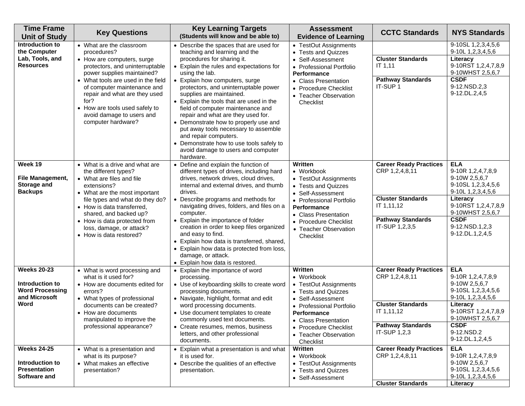| <b>Time Frame</b><br><b>Unit of Study</b>                                                | <b>Key Questions</b>                                                                                                                                                                                                                                                                                                                      | <b>Key Learning Targets</b><br>(Students will know and be able to)                                                                                                                                                                                                                                                                                                                                                                                                                                                                                                                                          | <b>Assessment</b><br><b>Evidence of Learning</b>                                                                                                                                                                             | <b>CCTC Standards</b>                                                                                                                   | <b>NYS Standards</b>                                                                                                                                                                                    |
|------------------------------------------------------------------------------------------|-------------------------------------------------------------------------------------------------------------------------------------------------------------------------------------------------------------------------------------------------------------------------------------------------------------------------------------------|-------------------------------------------------------------------------------------------------------------------------------------------------------------------------------------------------------------------------------------------------------------------------------------------------------------------------------------------------------------------------------------------------------------------------------------------------------------------------------------------------------------------------------------------------------------------------------------------------------------|------------------------------------------------------------------------------------------------------------------------------------------------------------------------------------------------------------------------------|-----------------------------------------------------------------------------------------------------------------------------------------|---------------------------------------------------------------------------------------------------------------------------------------------------------------------------------------------------------|
| Introduction to<br>the Computer<br>Lab, Tools, and<br><b>Resources</b>                   | • What are the classroom<br>procedures?<br>• How are computers, surge<br>protectors, and uninterruptable<br>power supplies maintained?<br>• What tools are used in the field<br>of computer maintenance and<br>repair and what are they used<br>for?<br>• How are tools used safely to<br>avoid damage to users and<br>computer hardware? | • Describe the spaces that are used for<br>teaching and learning and the<br>procedures for sharing it.<br>• Explain the rules and expectations for<br>using the lab.<br>• Explain how computers, surge<br>protectors, and uninterruptable power<br>supplies are maintained.<br>• Explain the tools that are used in the<br>field of computer maintenance and<br>repair and what are they used for.<br>• Demonstrate how to properly use and<br>put away tools necessary to assemble<br>and repair computers.<br>• Demonstrate how to use tools safely to<br>avoid damage to users and computer<br>hardware. | • TestOut Assignments<br>• Tests and Quizzes<br>• Self-Assessment<br>• Professional Portfolio<br>Performance<br>• Class Presentation<br>• Procedure Checklist<br>• Teacher Observation<br>Checklist                          | <b>Cluster Standards</b><br>IT 1,11<br><b>Pathway Standards</b><br>IT-SUP 1                                                             | 9-10SL 1, 2, 3, 4, 5, 6<br>9-10L 1,2,3,4,5,6<br>Literacy<br>9-10RST 1,2,4,7,8,9<br>9-10WHST 2,5,6,7<br><b>CSDF</b><br>9-12.NSD.2,3<br>9-12.DL.2,4,5                                                     |
| Week 19<br>File Management,<br>Storage and<br><b>Backups</b>                             | • What is a drive and what are<br>the different types?<br>• What are files and file<br>extensions?<br>• What are the most important<br>file types and what do they do?<br>• How is data transferred,<br>shared, and backed up?<br>• How is data protected from<br>loss, damage, or attack?<br>• How is data restored?                     | • Define and explain the function of<br>different types of drives, including hard<br>drives, network drives, cloud drives,<br>internal and external drives, and thumb<br>drives.<br>• Describe programs and methods for<br>navigating drives, folders, and files on a<br>computer.<br>• Explain the importance of folder<br>creation in order to keep files organized<br>and easy to find.<br>• Explain how data is transferred, shared,<br>• Explain how data is protected from loss,<br>damage, or attack.<br>• Explain how data is restored.                                                             | Written<br>• Workbook<br>• TestOut Assignments<br>• Tests and Quizzes<br>• Self-Assessment<br>• Professional Portfolio<br>Performance<br>• Class Presentation<br>• Procedure Checklist<br>• Teacher Observation<br>Checklist | <b>Career Ready Practices</b><br>CRP 1,2,4,8,11<br><b>Cluster Standards</b><br>IT 1,11,12<br><b>Pathway Standards</b><br>IT-SUP 1,2,3,5 | <b>ELA</b><br>9-10R 1,2,4,7,8,9<br>9-10W 2,5,6,7<br>9-10SL 1,2,3,4,5,6<br>9-10L 1,2,3,4,5,6<br>Literacy<br>9-10RST 1,2,4,7,8,9<br>9-10WHST 2,5,6,7<br><b>CSDF</b><br>9-12.NSD.1,2,3<br>9-12.DL.1,2,4,5  |
| <b>Weeks 20-23</b><br>Introduction to<br><b>Word Processing</b><br>and Microsoft<br>Word | • What is word processing and<br>what is it used for?<br>• How are documents edited for<br>errors?<br>• What types of professional<br>documents can be created?<br>• How are documents<br>manipulated to improve the<br>professional appearance?                                                                                          | • Explain the importance of word<br>processing.<br>• Use of keyboarding skills to create word<br>processing documents.<br>• Navigate, highlight, format and edit<br>word processing documents.<br>• Use document templates to create<br>commonly used text documents.<br>• Create resumes, memos, business<br>letters, and other professional<br>documents.                                                                                                                                                                                                                                                 | Written<br>• Workbook<br>• TestOut Assignments<br>• Tests and Quizzes<br>• Self-Assessment<br>• Professional Portfolio<br>Performance<br>• Class Presentation<br>• Procedure Checklist<br>• Teacher Observation<br>Checklist | <b>Career Ready Practices</b><br>CRP 1,2,4,8,11<br><b>Cluster Standards</b><br>IT 1,11,12<br><b>Pathway Standards</b><br>IT-SUP 1,2,3   | <b>ELA</b><br>9-10R 1,2,4,7,8,9<br>9-10W 2,5,6,7<br>9-10SL 1,2,3,4,5,6<br>9-10L 1, 2, 3, 4, 5, 6<br>Literacy<br>9-10RST 1,2,4,7,8,9<br>9-10WHST 2,5,6,7<br><b>CSDF</b><br>9-12.NSD.2<br>9-12.DL.1,2,4,5 |
| <b>Weeks 24-25</b><br>Introduction to<br><b>Presentation</b><br>Software and             | • What is a presentation and<br>what is its purpose?<br>• What makes an effective<br>presentation?                                                                                                                                                                                                                                        | • Explain what a presentation is and what<br>it is used for.<br>• Describe the qualities of an effective<br>presentation.                                                                                                                                                                                                                                                                                                                                                                                                                                                                                   | Written<br>• Workbook<br>• TestOut Assignments<br>• Tests and Quizzes<br>• Self-Assessment                                                                                                                                   | <b>Career Ready Practices</b><br>CRP 1,2,4,8,11<br><b>Cluster Standards</b>                                                             | <b>ELA</b><br>9-10R 1,2,4,7,8,9<br>9-10W 2,5,6,7<br>9-10SL 1, 2, 3, 4, 5, 6<br>9-10L 1,2,3,4,5,6<br>Literacy                                                                                            |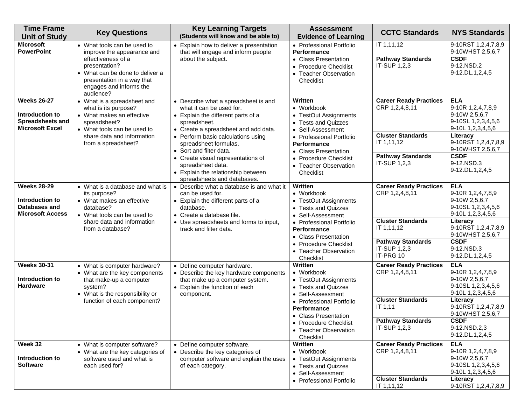| <b>Time Frame</b><br><b>Unit of Study</b>                                                  | <b>Key Questions</b>                                                                                                                                                                                      | <b>Key Learning Targets</b><br>(Students will know and be able to)                                                                                                                                                                                                                                                                                        | <b>Assessment</b><br><b>Evidence of Learning</b>                                                                                                                                                                                           | <b>CCTC Standards</b>                                                                                                                              | <b>NYS Standards</b>                                                                                                                                                                                    |
|--------------------------------------------------------------------------------------------|-----------------------------------------------------------------------------------------------------------------------------------------------------------------------------------------------------------|-----------------------------------------------------------------------------------------------------------------------------------------------------------------------------------------------------------------------------------------------------------------------------------------------------------------------------------------------------------|--------------------------------------------------------------------------------------------------------------------------------------------------------------------------------------------------------------------------------------------|----------------------------------------------------------------------------------------------------------------------------------------------------|---------------------------------------------------------------------------------------------------------------------------------------------------------------------------------------------------------|
| <b>Microsoft</b><br><b>PowerPoint</b>                                                      | • What tools can be used to<br>improve the appearance and<br>effectiveness of a<br>presentation?<br>• What can be done to deliver a<br>presentation in a way that<br>engages and informs the<br>audience? | • Explain how to deliver a presentation<br>that will engage and inform people<br>about the subject.                                                                                                                                                                                                                                                       | • Professional Portfolio<br>Performance<br>• Class Presentation<br>• Procedure Checklist<br>• Teacher Observation<br>Checklist                                                                                                             | IT 1,11,12<br><b>Pathway Standards</b><br>IT-SUP 1,2,3                                                                                             | 9-10RST 1,2,4,7,8,9<br>9-10WHST 2,5,6,7<br><b>CSDF</b><br>9-12.NSD.2<br>9-12.DL.1,2,4,5                                                                                                                 |
| <b>Weeks 26-27</b><br>Introduction to<br><b>Spreadsheets and</b><br><b>Microsoft Excel</b> | • What is a spreadsheet and<br>what is its purpose?<br>• What makes an effective<br>spreadsheet?<br>• What tools can be used to<br>share data and information<br>from a spreadsheet?                      | • Describe what a spreadsheet is and<br>what it can be used for.<br>• Explain the different parts of a<br>spreadsheet.<br>• Create a spreadsheet and add data.<br>• Perform basic calculations using<br>spreadsheet formulas.<br>• Sort and filter data.<br>• Create visual representations of<br>spreadsheet data.<br>• Explain the relationship between | <b>Written</b><br>• Workbook<br>• TestOut Assignments<br>• Tests and Quizzes<br>• Self-Assessment<br>• Professional Portfolio<br><b>Performance</b><br>• Class Presentation<br>• Procedure Checklist<br>• Teacher Observation<br>Checklist | <b>Career Ready Practices</b><br>CRP 1,2,4,8,11<br><b>Cluster Standards</b><br>IT 1,11,12<br><b>Pathway Standards</b><br>IT-SUP 1,2,3              | <b>ELA</b><br>9-10R 1,2,4,7,8,9<br>9-10W 2,5,6,7<br>9-10SL 1,2,3,4,5,6<br>9-10L 1,2,3,4,5,6<br>Literacy<br>9-10RST 1,2,4,7,8,9<br>9-10WHST 2,5,6,7<br><b>CSDF</b><br>9-12.NSD.3<br>9-12.DL.1,2,4,5      |
| <b>Weeks 28-29</b><br>Introduction to<br>Databases and<br><b>Microsoft Access</b>          | • What is a database and what is<br>its purpose?<br>• What makes an effective<br>database?<br>• What tools can be used to<br>share data and information<br>from a database?                               | spreadsheets and databases.<br>• Describe what a database is and what it<br>can be used for.<br>• Explain the different parts of a<br>database.<br>• Create a database file.<br>• Use spreadsheets and forms to input,<br>track and filter data.                                                                                                          | Written<br>• Workbook<br>• TestOut Assignments<br>• Tests and Quizzes<br>• Self-Assessment<br>• Professional Portfolio<br>Performance<br>• Class Presentation<br>• Procedure Checklist<br>• Teacher Observation<br>Checklist               | <b>Career Ready Practices</b><br>CRP 1,2,4,8,11<br><b>Cluster Standards</b><br>IT 1,11,12<br><b>Pathway Standards</b><br>IT-SUP 1,2,3<br>IT-PRG 10 | <b>ELA</b><br>9-10R 1,2,4,7,8,9<br>9-10W 2,5,6,7<br>9-10SL 1, 2, 3, 4, 5, 6<br>9-10L 1,2,3,4,5,6<br>Literacy<br>9-10RST 1,2,4,7,8,9<br>9-10WHST 2,5,6,7<br><b>CSDF</b><br>9-12.NSD.3<br>9-12.DL.1,2,4,5 |
| <b>Weeks 30-31</b><br>Introduction to<br><b>Hardware</b>                                   | • What is computer hardware?<br>• What are the key components<br>that make-up a computer<br>system?<br>• What is the responsibility or<br>function of each component?                                     | • Define computer hardware.<br>• Describe the key hardware components<br>that make up a computer system.<br>• Explain the function of each<br>component.                                                                                                                                                                                                  | Written<br>• Workbook<br>• TestOut Assignments<br>• Tests and Quizzes<br>• Self-Assessment<br>• Professional Portfolio<br><b>Performance</b><br>• Class Presentation<br>• Procedure Checklist<br>• Teacher Observation<br>Checklist        | <b>Career Ready Practices</b><br>CRP 1,2,4,8,11<br><b>Cluster Standards</b><br>IT 1,11<br><b>Pathway Standards</b><br>IT-SUP 1,2,3                 | <b>ELA</b><br>9-10R 1,2,4,7,8,9<br>9-10W 2,5,6,7<br>9-10SL 1,2,3,4,5,6<br>9-10L 1,2,3,4,5,6<br>Literacy<br>9-10RST 1,2,4,7,8,9<br>9-10WHST 2,5,6,7<br><b>CSDF</b><br>9-12.NSD.2,3<br>9-12.DL.1,2,4,5    |
| Week 32<br>Introduction to<br><b>Software</b>                                              | • What is computer software?<br>• What are the key categories of<br>software used and what is<br>each used for?                                                                                           | • Define computer software.<br>• Describe the key categories of<br>computer software and explain the uses<br>of each category.                                                                                                                                                                                                                            | Written<br>• Workbook<br>• TestOut Assignments<br>• Tests and Quizzes<br>• Self-Assessment<br>• Professional Portfolio                                                                                                                     | <b>Career Ready Practices</b><br>CRP 1,2,4,8,11<br><b>Cluster Standards</b><br>IT 1,11,12                                                          | <b>ELA</b><br>9-10R 1,2,4,7,8,9<br>9-10W 2,5,6,7<br>9-10SL 1,2,3,4,5,6<br>9-10L 1,2,3,4,5,6<br>Literacy<br>9-10RST 1,2,4,7,8,9                                                                          |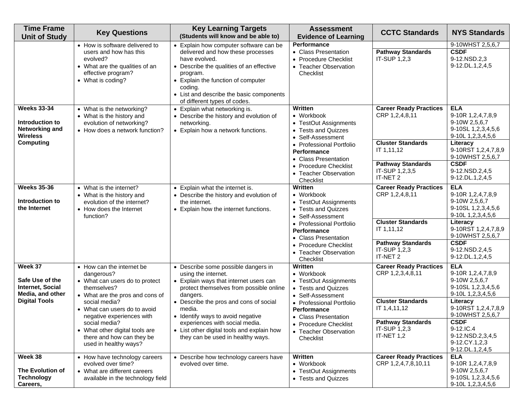| <b>Time Frame</b><br><b>Unit of Study</b>                                                             | <b>Key Questions</b>                                                                                                                                                                                                                                                                                               | <b>Key Learning Targets</b><br>(Students will know and be able to)                                                                                                                                                                                                                                                                                                        | <b>Assessment</b><br><b>Evidence of Learning</b>                                                                                                                                                                                            | <b>CCTC Standards</b>                                                                                                                                   | <b>NYS Standards</b>                                                                                                                                                                                                                        |
|-------------------------------------------------------------------------------------------------------|--------------------------------------------------------------------------------------------------------------------------------------------------------------------------------------------------------------------------------------------------------------------------------------------------------------------|---------------------------------------------------------------------------------------------------------------------------------------------------------------------------------------------------------------------------------------------------------------------------------------------------------------------------------------------------------------------------|---------------------------------------------------------------------------------------------------------------------------------------------------------------------------------------------------------------------------------------------|---------------------------------------------------------------------------------------------------------------------------------------------------------|---------------------------------------------------------------------------------------------------------------------------------------------------------------------------------------------------------------------------------------------|
|                                                                                                       | • How is software delivered to<br>users and how has this<br>evolved?<br>• What are the qualities of an<br>effective program?<br>• What is coding?                                                                                                                                                                  | • Explain how computer software can be<br>delivered and how these processes<br>have evolved.<br>• Describe the qualities of an effective<br>program.<br>• Explain the function of computer<br>coding.<br>• List and describe the basic components<br>of different types of codes.                                                                                         | Performance<br>• Class Presentation<br>• Procedure Checklist<br>• Teacher Observation<br>Checklist                                                                                                                                          | <b>Pathway Standards</b><br>IT-SUP 1,2,3                                                                                                                | 9-10WHST 2,5,6,7<br><b>CSDF</b><br>9-12.NSD.2,3<br>9-12.DL.1,2,4,5                                                                                                                                                                          |
| <b>Weeks 33-34</b><br>Introduction to<br><b>Networking and</b><br><b>Wireless</b><br><b>Computing</b> | • What is the networking?<br>• What is the history and<br>evolution of networking?<br>• How does a network function?                                                                                                                                                                                               | • Explain what networking is.<br>• Describe the history and evolution of<br>networking.<br>• Explain how a network functions.                                                                                                                                                                                                                                             | Written<br>• Workbook<br>• TestOut Assignments<br>• Tests and Quizzes<br>• Self-Assessment<br>• Professional Portfolio<br>Performance<br>• Class Presentation<br>• Procedure Checklist<br>• Teacher Observation<br>Checklist                | <b>Career Ready Practices</b><br>CRP 1,2,4,8,11<br><b>Cluster Standards</b><br>IT 1,11,12<br><b>Pathway Standards</b><br>IT-SUP 1,2,3,5<br>IT-NET 2     | <b>ELA</b><br>9-10R 1,2,4,7,8,9<br>9-10W 2,5,6,7<br>9-10SL 1,2,3,4,5,6<br>9-10L 1,2,3,4,5,6<br>Literacy<br>9-10RST 1,2,4,7,8,9<br>9-10WHST 2,5,6,7<br><b>CSDF</b><br>9-12.NSD.2,4,5<br>9-12.DL.1,2,4,5                                      |
| <b>Weeks 35-36</b><br>Introduction to<br>the Internet                                                 | • What is the internet?<br>• What is the history and<br>evolution of the internet?<br>• How does the Internet<br>function?                                                                                                                                                                                         | • Explain what the internet is.<br>• Describe the history and evolution of<br>the internet.<br>• Explain how the internet functions.                                                                                                                                                                                                                                      | Written<br>$\bullet$ Workbook<br>• TestOut Assignments<br>• Tests and Quizzes<br>• Self-Assessment<br>• Professional Portfolio<br><b>Performance</b><br>• Class Presentation<br>• Procedure Checklist<br>• Teacher Observation<br>Checklist | <b>Career Ready Practices</b><br>CRP 1,2,4,8,11<br><b>Cluster Standards</b><br>IT 1,11,12<br><b>Pathway Standards</b><br>IT-SUP 1,2,3<br>IT-NET 2       | <b>ELA</b><br>9-10R 1,2,4,7,8,9<br>9-10W 2,5,6,7<br>9-10SL 1, 2, 3, 4, 5, 6<br>9-10L 1,2,3,4,5,6<br>Literacy<br>9-10RST 1,2,4,7,8,9<br>9-10WHST 2,5,6,7<br><b>CSDF</b><br>9-12.NSD.2,4,5<br>9-12.DL.1,2,4,5                                 |
| Week 37<br>Safe Use of the<br>Internet, Social<br>Media, and other<br><b>Digital Tools</b>            | • How can the internet be<br>dangerous?<br>• What can users do to protect<br>themselves?<br>• What are the pros and cons of<br>social media?<br>• What can users do to avoid<br>negative experiences with<br>social media?<br>• What other digital tools are<br>there and how can they be<br>used in healthy ways? | • Describe some possible dangers in<br>using the internet.<br>• Explain ways that internet users can<br>protect themselves from possible online<br>dangers.<br>• Describe the pros and cons of social<br>media.<br>• Identify ways to avoid negative<br>experiences with social media.<br>• List other digital tools and explain how<br>they can be used in healthy ways. | Written<br>• Workbook<br>• TestOut Assignments<br>• Tests and Quizzes<br>• Self-Assessment<br>• Professional Portfolio<br>Performance<br>• Class Presentation<br>• Procedure Checklist<br>• Teacher Observation<br>Checklist                | <b>Career Ready Practices</b><br>CRP 1,2,3,4,8,11<br><b>Cluster Standards</b><br>IT 1,4,11,12<br><b>Pathway Standards</b><br>IT-SUP 1,2,3<br>IT-NET 1,2 | <b>ELA</b><br>9-10R 1,2,4,7,8,9<br>9-10W 2,5,6,7<br>9-10SL 1, 2, 3, 4, 5, 6<br>9-10L 1,2,3,4,5,6<br>Literacy<br>9-10RST 1,2,4,7,8,9<br>9-10WHST 2,5,6,7<br><b>CSDF</b><br>9-12.IC.4<br>9-12.NSD.2,3,4,5<br>9-12.CY.1,2,3<br>9-12.DL.1,2,4,5 |
| Week 38<br>The Evolution of<br><b>Technology</b><br>Careers,                                          | • How have technology careers<br>evolved over time?<br>• What are different careers<br>available in the technology field                                                                                                                                                                                           | • Describe how technology careers have<br>evolved over time.                                                                                                                                                                                                                                                                                                              | Written<br>• Workbook<br>• TestOut Assignments<br>• Tests and Quizzes                                                                                                                                                                       | <b>Career Ready Practices</b><br>CRP 1,2,4,7,8,10,11                                                                                                    | <b>ELA</b><br>9-10R 1,2,4,7,8,9<br>9-10W 2,5,6,7<br>9-10SL 1,2,3,4,5,6<br>9-10L 1, 2, 3, 4, 5, 6                                                                                                                                            |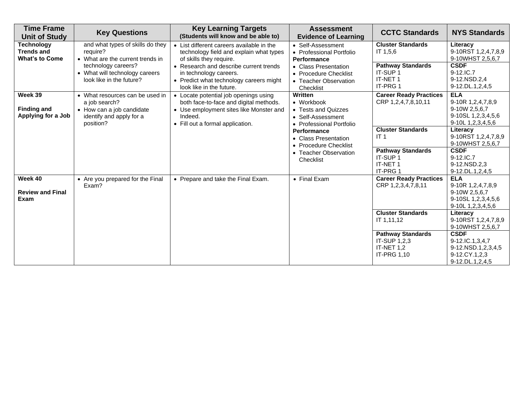| <b>Time Frame</b><br><b>Unit of Study</b>                       | <b>Key Questions</b>                                                                                                   | <b>Key Learning Targets</b><br>(Students will know and be able to)                                                                                                        | <b>Assessment</b><br><b>Evidence of Learning</b>                                              | <b>CCTC Standards</b>                                                               | <b>NYS Standards</b>                                                                                  |
|-----------------------------------------------------------------|------------------------------------------------------------------------------------------------------------------------|---------------------------------------------------------------------------------------------------------------------------------------------------------------------------|-----------------------------------------------------------------------------------------------|-------------------------------------------------------------------------------------|-------------------------------------------------------------------------------------------------------|
| <b>Technology</b><br><b>Trends and</b><br><b>What's to Come</b> | and what types of skills do they<br>require?<br>• What are the current trends in                                       | • List different careers available in the<br>technology field and explain what types<br>of skills they require.                                                           | • Self-Assessment<br>• Professional Portfolio<br>Performance                                  | <b>Cluster Standards</b><br>IT 1,5,6                                                | Literacy<br>9-10RST 1,2,4,7,8,9<br>9-10WHST 2,5,6,7                                                   |
|                                                                 | technology careers?<br>• What will technology careers<br>look like in the future?                                      | • Research and describe current trends<br>in technology careers.<br>• Predict what technology careers might<br>look like in the future.                                   | • Class Presentation<br>• Procedure Checklist<br>• Teacher Observation<br>Checklist           | <b>Pathway Standards</b><br>IT-SUP 1<br>IT-NET 1<br>IT-PRG 1                        | <b>CSDF</b><br>9-12.IC.7<br>9-12.NSD.2,4<br>9-12.DL.1,2,4,5                                           |
| Week 39<br><b>Finding and</b><br>Applying for a Job             | • What resources can be used in<br>a job search?<br>• How can a job candidate<br>identify and apply for a<br>position? | • Locate potential job openings using<br>both face-to-face and digital methods.<br>• Use employment sites like Monster and<br>Indeed.<br>• Fill out a formal application. | Written<br>• Workbook<br>• Tests and Quizzes<br>• Self-Assessment<br>• Professional Portfolio | <b>Career Ready Practices</b><br>CRP 1,2,4,7,8,10,11                                | <b>ELA</b><br>9-10R 1,2,4,7,8,9<br>9-10W 2,5,6,7<br>9-10SL 1, 2, 3, 4, 5, 6<br>9-10L 1, 2, 3, 4, 5, 6 |
|                                                                 | Performance<br>• Class Presentation<br>• Procedure Checklist<br>• Teacher Observation<br>Checklist                     |                                                                                                                                                                           | <b>Cluster Standards</b><br>IT <sub>1</sub>                                                   | Literacy<br>9-10RST 1,2,4,7,8,9<br>9-10WHST 2,5,6,7                                 |                                                                                                       |
|                                                                 |                                                                                                                        |                                                                                                                                                                           |                                                                                               | <b>Pathway Standards</b><br>IT-SUP 1<br>IT-NET 1<br><b>IT-PRG1</b>                  | <b>CSDF</b><br>9-12.IC.7<br>9-12.NSD.2,3<br>9-12.DL.1,2,4,5                                           |
| Week 40<br><b>Review and Final</b><br>Exam                      | • Are you prepared for the Final<br>Exam?                                                                              | • Prepare and take the Final Exam.                                                                                                                                        | • Final Exam                                                                                  | <b>Career Ready Practices</b><br>CRP 1,2,3,4,7,8,11                                 | <b>ELA</b><br>9-10R 1,2,4,7,8,9<br>9-10W 2,5,6,7<br>9-10SL 1, 2, 3, 4, 5, 6<br>9-10L 1,2,3,4,5,6      |
|                                                                 |                                                                                                                        |                                                                                                                                                                           |                                                                                               | <b>Cluster Standards</b><br>IT 1,11,12                                              | Literacy<br>9-10RST 1,2,4,7,8,9<br>9-10WHST 2,5,6,7                                                   |
|                                                                 |                                                                                                                        |                                                                                                                                                                           |                                                                                               | <b>Pathway Standards</b><br><b>IT-SUP 1.2.3</b><br>IT-NET 1,2<br><b>IT-PRG 1,10</b> | <b>CSDF</b><br>9-12.IC.1,3,4,7<br>9-12.NSD.1,2,3,4,5<br>9-12.CY.1,2,3<br>9-12.DL.1,2,4,5              |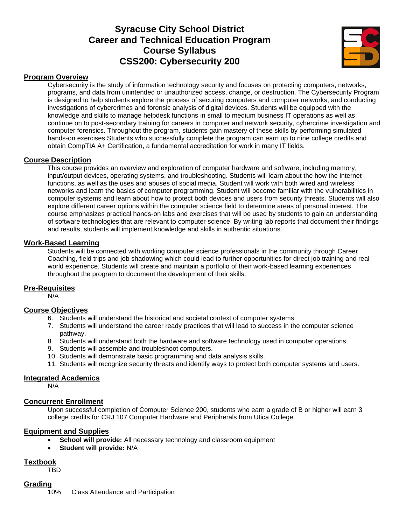# **Syracuse City School District Career and Technical Education Program Course Syllabus CSS200: Cybersecurity 200**



#### **Program Overview**

Cybersecurity is the study of information technology security and focuses on protecting computers, networks, programs, and data from unintended or unauthorized access, change, or destruction. The Cybersecurity Program is designed to help students explore the process of securing computers and computer networks, and conducting investigations of cybercrimes and forensic analysis of digital devices. Students will be equipped with the knowledge and skills to manage helpdesk functions in small to medium business IT operations as well as continue on to post-secondary training for careers in computer and network security, cybercrime investigation and computer forensics. Throughout the program, students gain mastery of these skills by performing simulated hands-on exercises Students who successfully complete the program can earn up to nine college credits and obtain CompTIA A+ Certification, a fundamental accreditation for work in many IT fields.

#### **Course Description**

This course provides an overview and exploration of computer hardware and software, including memory, input/output devices, operating systems, and troubleshooting. Students will learn about the how the internet functions, as well as the uses and abuses of social media. Student will work with both wired and wireless networks and learn the basics of computer programming. Student will become familiar with the vulnerabilities in computer systems and learn about how to protect both devices and users from security threats. Students will also explore different career options within the computer science field to determine areas of personal interest. The course emphasizes practical hands-on labs and exercises that will be used by students to gain an understanding of software technologies that are relevant to computer science. By writing lab reports that document their findings and results, students will implement knowledge and skills in authentic situations.

#### **Work-Based Learning**

Students will be connected with working computer science professionals in the community through Career Coaching, field trips and job shadowing which could lead to further opportunities for direct job training and realworld experience. Students will create and maintain a portfolio of their work-based learning experiences throughout the program to document the development of their skills.

#### **Pre-Requisites**

N/A

#### **Course Objectives**

- 6. Students will understand the historical and societal context of computer systems.
- 7. Students will understand the career ready practices that will lead to success in the computer science pathway.
- 8. Students will understand both the hardware and software technology used in computer operations.
- 9. Students will assemble and troubleshoot computers.
- 10. Students will demonstrate basic programming and data analysis skills.
- 11. Students will recognize security threats and identify ways to protect both computer systems and users.

#### **Integrated Academics**

N/A

#### **Concurrent Enrollment**

Upon successful completion of Computer Science 200, students who earn a grade of B or higher will earn 3 college credits for CRJ 107 Computer Hardware and Peripherals from Utica College.

#### **Equipment and Supplies**

- **School will provide:** All necessary technology and classroom equipment
- **Student will provide:** N/A

#### **Textbook**

TBD

#### **Grading**

10% Class Attendance and Participation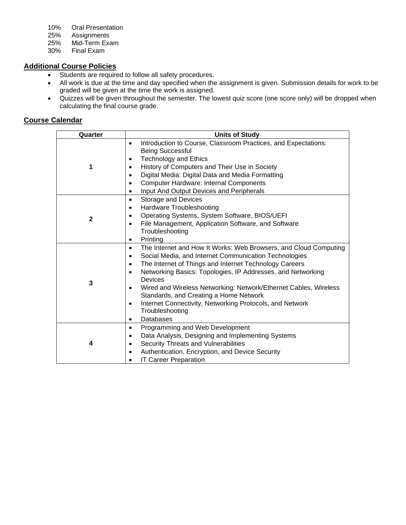- 10% Oral Presentation
- 
- 25% Assignments 25% Mid-Term Exam<br>30% Final Exam
- Final Exam

# **Additional Course Policies**

- Students are required to follow all safety procedures.
- All work is due at the time and day specified when the assignment is given. Submission details for work to be graded will be given at the time the work is assigned.
- Quizzes will be given throughout the semester. The lowest quiz score (one score only) will be dropped when calculating the final course grade.

| Quarter      | <b>Units of Study</b>                                                                                                                                                                                                                                                                                                                                                                                                                                                                                                                                              |
|--------------|--------------------------------------------------------------------------------------------------------------------------------------------------------------------------------------------------------------------------------------------------------------------------------------------------------------------------------------------------------------------------------------------------------------------------------------------------------------------------------------------------------------------------------------------------------------------|
| 1            | Introduction to Course, Classroom Practices, and Expectations:<br>$\bullet$<br><b>Being Successful</b><br><b>Technology and Ethics</b><br>٠<br>History of Computers and Their Use in Society<br>Digital Media: Digital Data and Media Formatting                                                                                                                                                                                                                                                                                                                   |
|              | <b>Computer Hardware: Internal Components</b><br>٠<br>Input And Output Devices and Peripherals<br>$\bullet$                                                                                                                                                                                                                                                                                                                                                                                                                                                        |
| $\mathbf{2}$ | <b>Storage and Devices</b><br>$\bullet$<br>Hardware Troubleshooting<br>٠<br>Operating Systems, System Software, BIOS/UEFI<br>File Management, Application Software, and Software<br>٠<br>Troubleshooting<br>Printing<br>٠                                                                                                                                                                                                                                                                                                                                          |
| 3            | The Internet and How It Works: Web Browsers, and Cloud Computing<br>$\bullet$<br>Social Media, and Internet Communication Technologies<br>$\bullet$<br>The Internet of Things and Internet Technology Careers<br>$\bullet$<br>Networking Basics: Topologies, IP Addresses, and Networking<br>$\bullet$<br>Devices<br>Wired and Wireless Networking: Network/Ethernet Cables, Wireless<br>$\bullet$<br>Standards, and Creating a Home Network<br>Internet Connectivity, Networking Protocols, and Network<br>$\bullet$<br>Troubleshooting<br>Databases<br>$\bullet$ |
| 4            | Programming and Web Development<br>$\bullet$<br>Data Analysis, Designing and Implementing Systems<br>٠<br>Security Threats and Vulnerabilities<br>٠<br>Authentication, Encryption, and Device Security<br><b>IT Career Preparation</b>                                                                                                                                                                                                                                                                                                                             |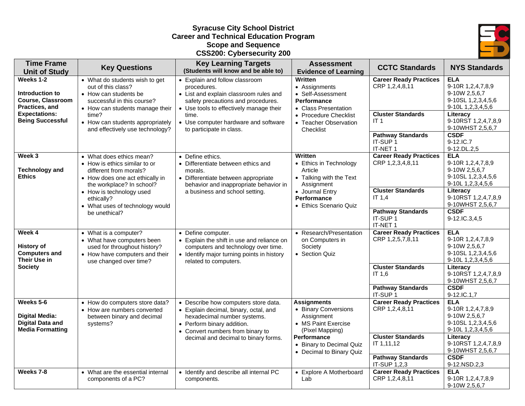#### **Syracuse City School District Career and Technical Education Program Scope and Sequence CSS200: Cybersecurity 200**



| <b>Time Frame</b><br><b>Unit of Study</b>                                                                                     | <b>Key Questions</b>                                                                                                                                                                                                                              | <b>Key Learning Targets</b><br>(Students will know and be able to)                                                                                                                                                                                    | <b>Assessment</b><br><b>Evidence of Learning</b>                                                                                                                          | <b>CCTC Standards</b>                                                                                                                  | <b>NYS Standards</b>                                                                                                                                                             |
|-------------------------------------------------------------------------------------------------------------------------------|---------------------------------------------------------------------------------------------------------------------------------------------------------------------------------------------------------------------------------------------------|-------------------------------------------------------------------------------------------------------------------------------------------------------------------------------------------------------------------------------------------------------|---------------------------------------------------------------------------------------------------------------------------------------------------------------------------|----------------------------------------------------------------------------------------------------------------------------------------|----------------------------------------------------------------------------------------------------------------------------------------------------------------------------------|
| Weeks 1-2<br>Introduction to<br><b>Course, Classroom</b><br>Practices, and<br><b>Expectations:</b><br><b>Being Successful</b> | • What do students wish to get<br>out of this class?<br>• How can students be<br>successful in this course?<br>• How can students manage their<br>time?<br>• How can students appropriately<br>and effectively use technology?                    | • Explain and follow classroom<br>procedures.<br>• List and explain classroom rules and<br>safety precautions and procedures.<br>• Use tools to effectively manage their<br>time.<br>• Use computer hardware and software<br>to participate in class. | Written<br>• Assignments<br>• Self-Assessment<br><b>Performance</b><br>• Class Presentation<br>• Procedure Checklist<br>• Teacher Observation<br>Checklist                | <b>Career Ready Practices</b><br>CRP 1,2,4,8,11<br><b>Cluster Standards</b><br>IT <sub>1</sub><br><b>Pathway Standards</b><br>IT-SUP 1 | <b>ELA</b><br>9-10R 1,2,4,7,8,9<br>9-10W 2,5,6,7<br>9-10SL 1,2,3,4,5,6<br>9-10L 1,2,3,4,5,6<br>Literacy<br>9-10RST 1,2,4,7,8,9<br>9-10WHST 2,5,6,7<br><b>CSDF</b><br>9-12.IC.7   |
| Week 3<br><b>Technology and</b><br><b>Ethics</b>                                                                              | • What does ethics mean?<br>• How is ethics similar to or<br>different from morals?<br>• How does one act ethically in<br>the workplace? In school?<br>• How is technology used<br>ethically?<br>• What uses of technology would<br>be unethical? | • Define ethics.<br>• Differentiate between ethics and<br>morals.<br>• Differentiate between appropriate<br>behavior and inappropriate behavior in<br>a business and school setting.                                                                  | Written<br>• Ethics in Technology<br>Article<br>• Talking with the Text<br>Assignment<br>• Journal Entry<br><b>Performance</b><br>• Ethics Scenario Quiz                  | IT-NET 1<br><b>Career Ready Practices</b><br>CRP 1,2,3,4,8,11<br><b>Cluster Standards</b><br>IT $1,4$<br><b>Pathway Standards</b>      | 9-12.DL.2,5<br><b>ELA</b><br>9-10R 1,2,4,7,8,9<br>9-10W 2,5,6,7<br>9-10SL 1,2,3,4,5,6<br>9-10L 1,2,3,4,5,6<br>Literacy<br>9-10RST 1,2,4,7,8,9<br>9-10WHST 2,5,6,7<br><b>CSDF</b> |
|                                                                                                                               |                                                                                                                                                                                                                                                   |                                                                                                                                                                                                                                                       |                                                                                                                                                                           | IT-SUP 1<br>IT-NET 1                                                                                                                   | 9-12.IC.3,4,5                                                                                                                                                                    |
| Week 4<br><b>History of</b><br><b>Computers and</b><br>Their Use in                                                           | • What is a computer?<br>• What have computers been<br>used for throughout history?<br>• How have computers and their<br>use changed over time?                                                                                                   | • Define computer.<br>• Explain the shift in use and reliance on<br>computers and technology over time.<br>• Identify major turning points in history<br>related to computers.                                                                        | • Research/Presentation<br>on Computers in<br>Society<br>• Section Quiz                                                                                                   | <b>Career Ready Practices</b><br>CRP 1,2,5,7,8,11                                                                                      | <b>ELA</b><br>9-10R 1,2,4,7,8,9<br>9-10W 2,5,6,7<br>9-10SL 1,2,3,4,5,6<br>9-10L 1,2,3,4,5,6                                                                                      |
| <b>Society</b>                                                                                                                |                                                                                                                                                                                                                                                   |                                                                                                                                                                                                                                                       |                                                                                                                                                                           | <b>Cluster Standards</b><br>IT 1.6<br><b>Pathway Standards</b>                                                                         | Literacy<br>9-10RST 1,2,4,7,8,9<br>9-10WHST 2,5,6,7<br><b>CSDF</b>                                                                                                               |
| Weeks 5-6<br><b>Digital Media:</b><br><b>Digital Data and</b><br><b>Media Formatting</b>                                      | • How do computers store data?<br>• How are numbers converted<br>between binary and decimal<br>systems?                                                                                                                                           | • Describe how computers store data.<br>• Explain decimal, binary, octal, and<br>hexadecimal number systems.<br>• Perform binary addition.<br>• Convert numbers from binary to<br>decimal and decimal to binary forms.                                | <b>Assignments</b><br>• Binary Conversions<br>Assignment<br>• MS Paint Exercise<br>(Pixel Mapping)<br>Performance<br>• Binary to Decimal Quiz<br>• Decimal to Binary Quiz | IT-SUP 1<br><b>Career Ready Practices</b><br>CRP 1,2,4,8,11<br><b>Cluster Standards</b><br>IT 1,11,12<br><b>Pathway Standards</b>      | 9-12.IC.1,7<br><b>ELA</b><br>9-10R 1,2,4,7,8,9<br>9-10W 2,5,6,7<br>9-10SL 1,2,3,4,5,6<br>9-10L 1,2,3,4,5,6<br>Literacy<br>9-10RST 1,2,4,7,8,9<br>9-10WHST 2,5,6,7<br><b>CSDF</b> |
| Weeks 7-8                                                                                                                     | • What are the essential internal<br>components of a PC?                                                                                                                                                                                          | • Identify and describe all internal PC<br>components.                                                                                                                                                                                                | • Explore A Motherboard<br>Lab                                                                                                                                            | IT-SUP 1,2,3<br><b>Career Ready Practices</b><br>CRP 1,2,4,8,11                                                                        | 9-12.NSD.2,3<br><b>ELA</b><br>9-10R 1,2,4,7,8,9<br>9-10W 2,5,6,7                                                                                                                 |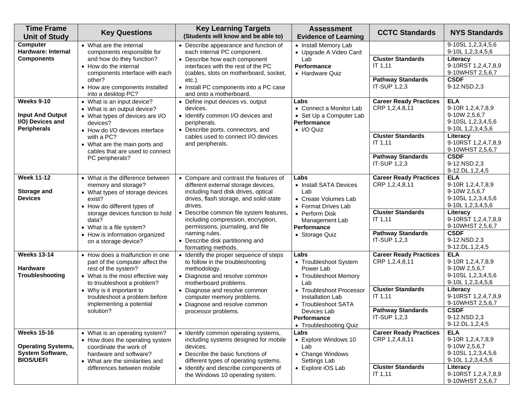| <b>Time Frame</b><br><b>Unit of Study</b>                                                      | <b>Key Questions</b>                                                                                                                                                                                                                                                   | <b>Key Learning Targets</b><br>(Students will know and be able to)                                                                                                                                                                                                                                                                                                     | <b>Assessment</b><br><b>Evidence of Learning</b>                                                                                                                                                          | <b>CCTC Standards</b>                                                                                                                     | <b>NYS Standards</b>                                                                                                                                                                                 |
|------------------------------------------------------------------------------------------------|------------------------------------------------------------------------------------------------------------------------------------------------------------------------------------------------------------------------------------------------------------------------|------------------------------------------------------------------------------------------------------------------------------------------------------------------------------------------------------------------------------------------------------------------------------------------------------------------------------------------------------------------------|-----------------------------------------------------------------------------------------------------------------------------------------------------------------------------------------------------------|-------------------------------------------------------------------------------------------------------------------------------------------|------------------------------------------------------------------------------------------------------------------------------------------------------------------------------------------------------|
| Computer<br>Hardware: Internal<br><b>Components</b>                                            | • What are the internal<br>components responsible for<br>and how do they function?<br>• How do the internal<br>components interface with each<br>other?<br>• How are components installed<br>into a desktop PC?                                                        | • Describe appearance and function of<br>each internal PC component.<br>• Describe how each component<br>interfaces with the rest of the PC<br>(cables, slots on motherboard, socket,<br>$etc.$ ).<br>• Install PC components into a PC case<br>and onto a motherboard.                                                                                                | • Install Memory Lab<br>• Upgrade A Video Card<br>Lab<br>Performance<br>• Hardware Quiz                                                                                                                   | <b>Cluster Standards</b><br>IT 1,11<br><b>Pathway Standards</b><br>IT-SUP 1,2,3                                                           | 9-10SL 1,2,3,4,5,6<br>9-10L 1, 2, 3, 4, 5, 6<br>Literacy<br>9-10RST 1,2,4,7,8,9<br>9-10WHST 2,5,6,7<br><b>CSDF</b><br>9-12.NSD.2,3                                                                   |
| <b>Weeks 9-10</b><br><b>Input And Output</b><br>I/O) Devices and<br><b>Peripherals</b>         | • What is an input device?<br>• What is an output device?<br>• What types of devices are I/O<br>devices?<br>• How do I/O devices interface<br>with a PC?<br>• What are the main ports and<br>cables that are used to connect<br>PC peripherals?                        | • Define input devices vs. output<br>devices.<br>• Identify common I/O devices and<br>peripherals.<br>• Describe ports, connectors, and<br>cables used to connect I/O devices<br>and peripherals.                                                                                                                                                                      | Labs<br>• Connect a Monitor Lab<br>• Set Up a Computer Lab<br>Performance<br>$\bullet$ I/O Quiz                                                                                                           | <b>Career Ready Practices</b><br>CRP 1,2,4,8,11<br><b>Cluster Standards</b><br>IT 1,11<br><b>Pathway Standards</b><br>IT-SUP 1,2,3        | <b>ELA</b><br>9-10R 1,2,4,7,8,9<br>9-10W 2,5,6,7<br>9-10SL 1,2,3,4,5,6<br>9-10L 1,2,3,4,5,6<br>Literacy<br>9-10RST 1,2,4,7,8,9<br>9-10WHST 2,5,6,7<br><b>CSDF</b><br>9-12.NSD.2,3<br>9-12.DL.1,2,4,5 |
| <b>Week 11-12</b><br>Storage and<br><b>Devices</b>                                             | • What is the difference between<br>memory and storage?<br>• What types of storage devices<br>exist?<br>• How do different types of<br>storage devices function to hold<br>data?<br>• What is a file system?<br>• How is information organized<br>on a storage device? | • Compare and contrast the features of<br>different external storage devices,<br>including hard disk drives, optical<br>drives, flash storage, and solid-state<br>drives.<br>Describe common file system features<br>including compression, encryption,<br>permissions, journaling, and file<br>naming rules.<br>Describe disk partitioning and<br>formatting methods. | Labs<br>• Install SATA Devices<br>Lab<br>• Create Volumes Lab<br>• Format Drives Lab<br>• Perform Disk<br>Management Lab<br><b>Performance</b><br>• Storage Quiz                                          | <b>Career Ready Practices</b><br>CRP 1,2,4,8,11<br><b>Cluster Standards</b><br><b>IT 1,11</b><br><b>Pathway Standards</b><br>IT-SUP 1,2,3 | <b>ELA</b><br>9-10R 1,2,4,7,8,9<br>9-10W 2,5,6,7<br>9-10SL 1,2,3,4,5,6<br>9-10L 1,2,3,4,5,6<br>Literacy<br>9-10RST 1,2,4,7,8,9<br>9-10WHST 2,5,6,7<br><b>CSDF</b><br>9-12.NSD.2.3<br>9-12.DL.1,2,4,5 |
| <b>Weeks 13-14</b><br><b>Hardware</b><br>Troubleshooting                                       | • How does a malfunction in one<br>part of the computer affect the<br>rest of the system?<br>• What is the most effective way<br>to troubleshoot a problem?<br>• Why is it important to<br>troubleshoot a problem before<br>implementing a potential<br>solution?      | • Identify the proper sequence of steps<br>to follow in the troubleshooting<br>methodology.<br>• Diagnose and resolve common<br>motherboard problems.<br>• Diagnose and resolve common<br>computer memory problems.<br>• Diagnose and resolve common<br>processor problems.                                                                                            | Labs<br>• Troubleshoot System<br>Power Lab<br>• Troubleshoot Memory<br>Lab<br>• Troubleshoot Processor<br>Installation Lab<br>• Troubleshoot SATA<br>Devices Lab<br>Performance<br>• Troubleshooting Quiz | <b>Career Ready Practices</b><br>CRP 1,2,4,8,11<br><b>Cluster Standards</b><br>IT 1,11<br><b>Pathway Standards</b><br>IT-SUP 1,2,3        | <b>ELA</b><br>9-10R 1,2,4,7,8,9<br>9-10W 2,5,6,7<br>9-10SL 1,2,3,4,5,6<br>9-10L 1,2,3,4,5,6<br>Literacy<br>9-10RST 1,2,4,7,8,9<br>9-10WHST 2,5,6,7<br><b>CSDF</b><br>9-12.NSD.2,3<br>9-12.DL.1,2,4,5 |
| <b>Weeks 15-16</b><br><b>Operating Systems,</b><br><b>System Software,</b><br><b>BIOS/UEFI</b> | • What is an operating system?<br>• How does the operating system<br>coordinate the work of<br>hardware and software?<br>• What are the similarities and<br>differences between mobile                                                                                 | • Identify common operating systems,<br>including systems designed for mobile<br>devices.<br>• Describe the basic functions of<br>different types of operating systems.<br>• Identify and describe components of<br>the Windows 10 operating system.                                                                                                                   | Labs<br>• Explore Windows 10<br>Lab<br>• Change Windows<br>Settings Lab<br>• Explore iOS Lab                                                                                                              | <b>Career Ready Practices</b><br>CRP 1,2,4,8,11<br><b>Cluster Standards</b><br>IT 1,11                                                    | <b>ELA</b><br>9-10R 1,2,4,7,8,9<br>9-10W 2,5,6,7<br>9-10SL 1,2,3,4,5,6<br>9-10L 1,2,3,4,5,6<br>Literacy<br>9-10RST 1,2,4,7,8,9<br>9-10WHST 2,5,6,7                                                   |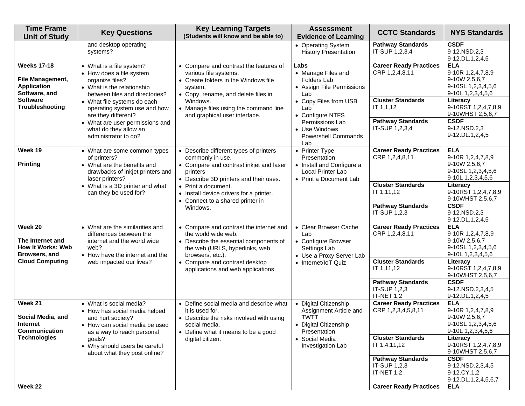| <b>Time Frame</b><br><b>Unit of Study</b>                                     | <b>Key Questions</b>                                                                                                                          | <b>Key Learning Targets</b><br>(Students will know and be able to)                                                                                             | <b>Assessment</b><br><b>Evidence of Learning</b>                                                           | <b>CCTC Standards</b>                                           | <b>NYS Standards</b>                                                                        |
|-------------------------------------------------------------------------------|-----------------------------------------------------------------------------------------------------------------------------------------------|----------------------------------------------------------------------------------------------------------------------------------------------------------------|------------------------------------------------------------------------------------------------------------|-----------------------------------------------------------------|---------------------------------------------------------------------------------------------|
|                                                                               | and desktop operating<br>systems?                                                                                                             |                                                                                                                                                                | • Operating System<br><b>History Presentation</b>                                                          | <b>Pathway Standards</b><br>IT-SUP 1,2,3,4                      | <b>CSDF</b><br>9-12.NSD.2,3<br>9-12.DL.1,2,4,5                                              |
| <b>Weeks 17-18</b><br>File Management,<br><b>Application</b><br>Software, and | • What is a file system?<br>• How does a file system<br>organize files?<br>• What is the relationship<br>between files and directories?       | • Compare and contrast the features of<br>various file systems.<br>• Create folders in the Windows file<br>system.<br>• Copy, rename, and delete files in      | Labs<br>• Manage Files and<br><b>Folders Lab</b><br>• Assign File Permissions<br>Lab                       | <b>Career Ready Practices</b><br>CRP 1,2,4,8,11                 | <b>ELA</b><br>9-10R 1,2,4,7,8,9<br>9-10W 2,5,6,7<br>9-10SL 1,2,3,4,5,6<br>9-10L 1,2,3,4,5,6 |
| <b>Software</b><br>Troubleshooting                                            | • What file systems do each<br>operating system use and how<br>are they different?                                                            | Windows.<br>• Manage files using the command line<br>and graphical user interface.                                                                             | • Copy Files from USB<br>Lab<br>• Configure NTFS                                                           | <b>Cluster Standards</b><br>IT 1,1,12                           | Literacy<br>9-10RST 1,2,4,7,8,9<br>9-10WHST 2,5,6,7                                         |
|                                                                               | • What are user permissions and<br>what do they allow an<br>administrator to do?                                                              |                                                                                                                                                                | Permissions Lab<br>• Use Windows<br><b>Powershell Commands</b><br>Lab                                      | <b>Pathway Standards</b><br>IT-SUP 1,2,3,4                      | <b>CSDF</b><br>9-12.NSD.2,3<br>9-12.DL.1,2,4,5                                              |
| Week 19<br><b>Printing</b>                                                    | • What are some common types<br>of printers?<br>• What are the benefits and<br>drawbacks of inkjet printers and<br>laser printers?            | • Describe different types of printers<br>commonly in use.<br>• Compare and contrast inkjet and laser<br>printers<br>• Describe 3D printers and their uses.    | • Printer Type<br>Presentation<br>• Install and Configure a<br>Local Printer Lab<br>• Print a Document Lab | <b>Career Ready Practices</b><br>CRP 1,2,4,8,11                 | <b>ELA</b><br>9-10R 1,2,4,7,8,9<br>9-10W 2,5,6,7<br>9-10SL 1,2,3,4,5,6<br>9-10L 1,2,3,4,5,6 |
|                                                                               | • What is a 3D printer and what<br>can they be used for?                                                                                      | • Print a document.<br>• Install device drivers for a printer.<br>• Connect to a shared printer in                                                             |                                                                                                            | <b>Cluster Standards</b><br>IT 1,11,12                          | Literacy<br>9-10RST 1,2,4,7,8,9<br>9-10WHST 2,5,6,7                                         |
|                                                                               |                                                                                                                                               | Windows.                                                                                                                                                       |                                                                                                            | <b>Pathway Standards</b><br>IT-SUP 1,2,3                        | <b>CSDF</b><br>9-12.NSD.2,3<br>9-12.DL.1,2,4,5                                              |
| Week 20<br>The Internet and<br><b>How It Works: Web</b><br>Browsers, and      | • What are the similarities and<br>differences between the<br>internet and the world wide<br>web?<br>• How have the internet and the          | • Compare and contrast the internet and<br>the world wide web.<br>• Describe the essential components of<br>the web (URLS, hyperlinks, web<br>browsers, etc.). | • Clear Browser Cache<br>Lab<br>• Configure Browser<br>Settings Lab<br>• Use a Proxy Server Lab            | <b>Career Ready Practices</b><br>CRP 1,2,4,8,11                 | <b>ELA</b><br>9-10R 1,2,4,7,8,9<br>9-10W 2,5,6,7<br>9-10SL 1,2,3,4,5,6<br>9-10L 1,2,3,4,5,6 |
| <b>Cloud Computing</b>                                                        | web impacted our lives?                                                                                                                       | • Compare and contrast desktop<br>applications and web applications.                                                                                           | • Internet/IoT Quiz                                                                                        | <b>Cluster Standards</b><br>IT 1,11,12                          | Literacy<br>9-10RST 1,2,4,7,8,9<br>9-10WHST 2,5,6,7                                         |
|                                                                               |                                                                                                                                               |                                                                                                                                                                |                                                                                                            | <b>Pathway Standards</b><br>IT-SUP 1,2,3<br>IT-NET $1,2$        | <b>CSDF</b><br>9-12.NSD.2,3,4,5<br>9-12.DL.1,2,4,5                                          |
| Week 21<br>Social Media, and<br>Internet<br>Communication                     | • What is social media?<br>• How has social media helped<br>and hurt society?<br>• How can social media be used<br>as a way to reach personal | • Define social media and describe what<br>it is used for.<br>• Describe the risks involved with using<br>social media.<br>• Define what it means to be a good | • Digital Citizenship<br>Assignment Article and<br><b>TWTT</b><br>• Digital Citizenship<br>Presentation    | <b>Career Ready Practices</b><br>CRP 1,2,3,4,5,8,11             | <b>ELA</b><br>9-10R 1,2,4,7,8,9<br>9-10W 2,5,6,7<br>9-10SL 1,2,3,4,5,6<br>9-10L 1,2,3,4,5,6 |
| <b>Technologies</b>                                                           | goals?<br>• Why should users be careful<br>about what they post online?                                                                       | digital citizen.                                                                                                                                               | • Social Media<br>Investigation Lab                                                                        | <b>Cluster Standards</b><br>IT 1,4,11,12                        | Literacy<br>9-10RST 1,2,4,7,8,9<br>9-10WHST 2,5,6,7                                         |
|                                                                               |                                                                                                                                               |                                                                                                                                                                |                                                                                                            | <b>Pathway Standards</b><br><b>IT-SUP 1,2,3</b><br>IT-NET $1,2$ | <b>CSDF</b><br>9-12.NSD.2,3,4,5<br>9-12.CY.1,2<br>9-12.DL.1,2,4,5,6,7                       |
| Week 22                                                                       |                                                                                                                                               |                                                                                                                                                                |                                                                                                            | <b>Career Ready Practices</b>                                   | <b>ELA</b>                                                                                  |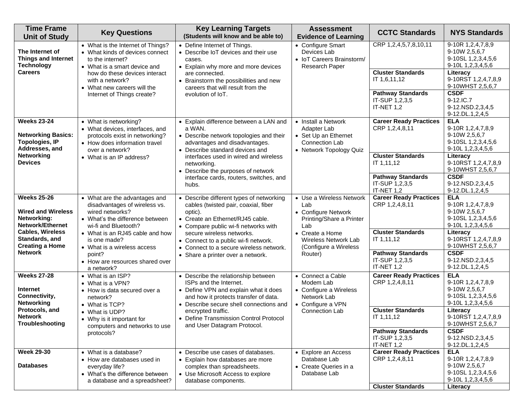| <b>Time Frame</b><br><b>Unit of Study</b>                                                                                                                        | <b>Key Questions</b>                                                                                                                                                                                                                      | <b>Key Learning Targets</b><br>(Students will know and be able to)                                                                                                                                                                                                                                                | <b>Assessment</b><br><b>Evidence of Learning</b>                                                                                                              | <b>CCTC Standards</b>                                                                                                                                        | <b>NYS Standards</b>                                                                                                                                                                                     |
|------------------------------------------------------------------------------------------------------------------------------------------------------------------|-------------------------------------------------------------------------------------------------------------------------------------------------------------------------------------------------------------------------------------------|-------------------------------------------------------------------------------------------------------------------------------------------------------------------------------------------------------------------------------------------------------------------------------------------------------------------|---------------------------------------------------------------------------------------------------------------------------------------------------------------|--------------------------------------------------------------------------------------------------------------------------------------------------------------|----------------------------------------------------------------------------------------------------------------------------------------------------------------------------------------------------------|
| The Internet of<br><b>Things and Internet</b><br><b>Technology</b><br><b>Careers</b>                                                                             | • What is the Internet of Things?<br>• What kinds of devices connect<br>to the internet?<br>• What is a smart device and<br>how do these devices interact<br>with a network?<br>• What new careers will the<br>Internet of Things create? | • Define Internet of Things.<br>• Describe IoT devices and their use<br>cases.<br>• Explain why more and more devices<br>are connected.<br>• Brainstorm the possibilities and new<br>careers that will result from the<br>evolution of IoT.                                                                       | • Configure Smart<br>Devices Lab<br>• IoT Careers Brainstorm/<br>Research Paper                                                                               | CRP 1,2,4,5,7,8,10,11<br><b>Cluster Standards</b><br>IT 1,6,11,12<br><b>Pathway Standards</b><br>IT-SUP 1,2,3,5<br>IT-NET 1,2                                | 9-10R 1,2,4,7,8,9<br>9-10W 2,5,6,7<br>9-10SL 1,2,3,4,5,6<br>9-10L 1,2,3,4,5,6<br>Literacy<br>9-10RST 1,2,4,7,8,9<br>9-10WHST 2,5,6,7<br><b>CSDF</b><br>9-12.IC.7<br>9-12.NSD.2,3,4,5<br>9-12.DL.1,2,4,5  |
| <b>Weeks 23-24</b><br><b>Networking Basics:</b><br><b>Topologies, IP</b><br>Addresses, and<br><b>Networking</b><br><b>Devices</b>                                | • What is networking?<br>• What devices, interfaces, and<br>protocols exist in networking?<br>• How does information travel<br>over a network?<br>• What is an IP address?                                                                | • Explain difference between a LAN and<br>a WAN.<br>• Describe network topologies and their<br>advantages and disadvantages.<br>• Describe standard devices and<br>interfaces used in wired and wireless<br>networking.<br>• Describe the purposes of network<br>interface cards, routers, switches, and<br>hubs. | • Install a Network<br>Adapter Lab<br>• Set Up an Ethernet<br>Connection Lab<br>• Network Topology Quiz                                                       | <b>Career Ready Practices</b><br>CRP 1,2,4,8,11<br><b>Cluster Standards</b><br>IT 1,11,12<br><b>Pathway Standards</b><br>IT-SUP 1,2,3,5<br><b>IT-NET 1,2</b> | <b>ELA</b><br>9-10R 1,2,4,7,8,9<br>9-10W 2,5,6,7<br>9-10SL 1,2,3,4,5,6<br>9-10L 1,2,3,4,5,6<br>Literacy<br>9-10RST 1,2,4,7,8,9<br>9-10WHST 2,5,6,7<br><b>CSDF</b><br>9-12.NSD.2,3,4,5<br>9-12.DL.1,2,4,5 |
| <b>Weeks 25-26</b><br><b>Wired and Wireless</b><br>Networking:<br><b>Network/Ethernet</b><br><b>Cables, Wireless</b><br>Standards, and<br><b>Creating a Home</b> | • What are the advantages and<br>disadvantages of wireless vs.<br>wired networks?<br>• What's the difference between<br>wi-fi and Bluetooth?<br>• What is an RJ45 cable and how<br>is one made?<br>• What is a wireless access            | • Describe different types of networking<br>cables (twisted pair, coaxial, fiber<br>optic).<br>• Create an Ethernet/RJ45 cable.<br>• Compare public wi-fi networks with<br>secure wireless networks.<br>• Connect to a public wi-fi network.<br>• Connect to a secure wireless network.                           | • Use a Wireless Network<br>Lab<br>• Configure Network<br>Printing/Share a Printer<br>Lab<br>• Create a Home<br>Wireless Network Lab<br>(Configure a Wireless | <b>Career Ready Practices</b><br>CRP 1,2,4,8,11<br><b>Cluster Standards</b><br>IT 1,11,12                                                                    | <b>ELA</b><br>9-10R 1,2,4,7,8,9<br>9-10W 2,5,6,7<br>9-10SL 1,2,3,4,5,6<br>9-10L 1,2,3,4,5,6<br>Literacy<br>9-10RST 1,2,4,7,8,9<br>9-10WHST 2,5,6,7                                                       |
| <b>Network</b>                                                                                                                                                   | point?<br>• How are resources shared over<br>a network?                                                                                                                                                                                   | • Share a printer over a network.                                                                                                                                                                                                                                                                                 | Router)                                                                                                                                                       | <b>Pathway Standards</b><br>IT-SUP 1,2,3,5<br>IT-NET 1,2                                                                                                     | <b>CSDF</b><br>9-12.NSD.2,3,4,5<br>9-12.DL.1,2,4,5                                                                                                                                                       |
| <b>Weeks 27-28</b><br><b>Internet</b><br>Connectivity,<br><b>Networking</b><br>Protocols, and<br><b>Network</b><br>Troubleshooting                               | • What is an ISP?<br>• What is a VPN?<br>• How is data secured over a<br>network?<br>• What is TCP?<br>• What is UDP?<br>• Why is it important for<br>computers and networks to use<br>protocols?                                         | • Describe the relationship between<br>ISPs and the Internet.<br>• Define VPN and explain what it does<br>and how it protects transfer of data.<br>• Describe secure shell connections and<br>encrypted traffic.<br>• Define Transmission Control Protocol<br>and User Datagram Protocol.                         | • Connect a Cable<br>Modem Lab<br>• Configure a Wireless<br>Network Lab<br>• Configure a VPN<br><b>Connection Lab</b>                                         | <b>Career Ready Practices</b><br>CRP 1,2,4,8,11<br><b>Cluster Standards</b><br>IT 1,11,12<br><b>Pathway Standards</b><br>IT-SUP 1,2,3,5                      | <b>ELA</b><br>9-10R 1,2,4,7,8,9<br>9-10W 2,5,6,7<br>9-10SL 1,2,3,4,5,6<br>9-10L 1,2,3,4,5,6<br>Literacy<br>9-10RST 1,2,4,7,8,9<br>9-10WHST 2,5,6,7<br><b>CSDF</b><br>9-12.NSD.2,3,4,5                    |
| <b>Week 29-30</b><br><b>Databases</b>                                                                                                                            | • What is a database?<br>• How are databases used in<br>everyday life?<br>• What's the difference between<br>a database and a spreadsheet?                                                                                                | • Describe use cases of databases.<br>• Explain how databases are more<br>complex than spreadsheets.<br>• Use Microsoft Access to explore<br>database components.                                                                                                                                                 | • Explore an Access<br>Database Lab<br>• Create Queries in a<br>Database Lab                                                                                  | IT-NET 1,2<br><b>Career Ready Practices</b><br>CRP 1,2,4,8,11<br><b>Cluster Standards</b>                                                                    | 9-12.DL.1,2,4,5<br><b>ELA</b><br>9-10R 1,2,4,7,8,9<br>9-10W 2,5,6,7<br>9-10SL 1,2,3,4,5,6<br>9-10L 1,2,3,4,5,6<br>Literacy                                                                               |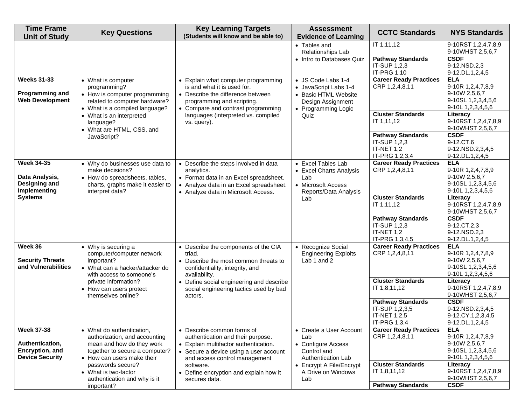| <b>Time Frame</b><br><b>Unit of Study</b>                                              | <b>Key Questions</b>                                                                                                                                                            | <b>Key Learning Targets</b><br>(Students will know and be able to)                                                                                                                                                                | <b>Assessment</b><br><b>Evidence of Learning</b>                                                                        | <b>CCTC Standards</b>                                                                     | <b>NYS Standards</b>                                                                                                           |
|----------------------------------------------------------------------------------------|---------------------------------------------------------------------------------------------------------------------------------------------------------------------------------|-----------------------------------------------------------------------------------------------------------------------------------------------------------------------------------------------------------------------------------|-------------------------------------------------------------------------------------------------------------------------|-------------------------------------------------------------------------------------------|--------------------------------------------------------------------------------------------------------------------------------|
|                                                                                        |                                                                                                                                                                                 |                                                                                                                                                                                                                                   | • Tables and<br>Relationships Lab<br>• Intro to Databases Quiz                                                          | IT 1,11,12<br><b>Pathway Standards</b><br>IT-SUP 1,2,3<br>IT-PRG 1,10                     | 9-10RST 1,2,4,7,8,9<br>9-10WHST 2,5,6,7<br><b>CSDF</b><br>9-12.NSD.2,3<br>9-12.DL.1,2,4,5                                      |
| <b>Weeks 31-33</b><br><b>Programming and</b><br><b>Web Development</b>                 | • What is computer<br>programming?<br>• How is computer programming<br>related to computer hardware?<br>• What is a compiled language?<br>• What is an interpreted<br>language? | • Explain what computer programming<br>is and what it is used for.<br>• Describe the difference between<br>programming and scripting.<br>• Compare and contrast programming<br>languages (interpreted vs. compiled<br>vs. query). | • JS Code Labs 1-4<br>• JavaScript Labs 1-4<br>• Basic HTML Website<br>Design Assignment<br>• Programming Logic<br>Quiz | <b>Career Ready Practices</b><br>CRP 1,2,4,8,11<br><b>Cluster Standards</b><br>IT 1,11,12 | <b>ELA</b><br>9-10R 1,2,4,7,8,9<br>9-10W 2,5,6,7<br>9-10SL 1,2,3,4,5,6<br>9-10L 1,2,3,4,5,6<br>Literacy<br>9-10RST 1,2,4,7,8,9 |
|                                                                                        | • What are HTML, CSS, and<br>JavaScript?                                                                                                                                        |                                                                                                                                                                                                                                   |                                                                                                                         | <b>Pathway Standards</b><br>IT-SUP 1,2,3<br>IT-NET 1,2<br>IT-PRG 1,2,3,4                  | 9-10WHST 2,5,6,7<br><b>CSDF</b><br>9-12.CT.6<br>9-12.NSD.2,3,4,5<br>9-12.DL.1,2,4,5                                            |
| <b>Week 34-35</b><br>Data Analysis,<br>Designing and<br>Implementing<br><b>Systems</b> | • Why do businesses use data to<br>make decisions?<br>• How do spreadsheets, tables,<br>charts, graphs make it easier to<br>interpret data?                                     | • Describe the steps involved in data<br>analytics.<br>• Format data in an Excel spreadsheet.<br>• Analyze data in an Excel spreadsheet.<br>• Analyze data in Microsoft Access.                                                   | • Excel Tables Lab<br>• Excel Charts Analysis<br>Lab<br>• Microsoft Access<br>Reports/Data Analysis<br>Lab              | <b>Career Ready Practices</b><br>CRP 1,2,4,8,11<br><b>Cluster Standards</b><br>IT 1,11,12 | <b>ELA</b><br>9-10R 1,2,4,7,8,9<br>9-10W 2,5,6,7<br>9-10SL 1,2,3,4,5,6<br>9-10L 1,2,3,4,5,6<br>Literacy<br>9-10RST 1,2,4,7,8,9 |
|                                                                                        |                                                                                                                                                                                 |                                                                                                                                                                                                                                   |                                                                                                                         | <b>Pathway Standards</b><br>IT-SUP 1,2,3<br>IT-NET 1,2<br>IT-PRG 1,3,4,5                  | 9-10WHST 2,5,6,7<br><b>CSDF</b><br>9-12.CT.2,3<br>9-12.NSD.2,3<br>9-12.DL.1,2,4,5                                              |
| Week 36<br><b>Security Threats</b><br>and Vulnerabilities                              | • Why is securing a<br>computer/computer network<br>important?<br>• What can a hacker/attacker do<br>with access to someone's                                                   | • Describe the components of the CIA<br>triad.<br>• Describe the most common threats to<br>confidentiality, integrity, and<br>availability.                                                                                       | • Recognize Social<br><b>Engineering Exploits</b><br>Lab 1 and 2                                                        | <b>Career Ready Practices</b><br>CRP 1,2,4,8,11                                           | <b>ELA</b><br>9-10R 1, 2, 4, 7, 8, 9<br>9-10W 2,5,6,7<br>9-10SL 1,2,3,4,5,6<br>9-10L 1,2,3,4,5,6                               |
| private information?<br>• How can users protect<br>themselves online?<br>actors.       | • Define social engineering and describe<br>social engineering tactics used by bad                                                                                              |                                                                                                                                                                                                                                   | <b>Cluster Standards</b><br>IT 1,8,11,12<br><b>Pathway Standards</b>                                                    | Literacy<br>9-10RST 1,2,4,7,8,9<br>9-10WHST 2,5,6,7<br><b>CSDF</b>                        |                                                                                                                                |
|                                                                                        |                                                                                                                                                                                 |                                                                                                                                                                                                                                   |                                                                                                                         | IT-SUP 1,2,3,5<br>IT-NET 1,2,5<br>IT-PRG 1,3,4                                            | 9-12.NSD.2,3,4,5<br>9-12.CY.1,2,3,4,5<br>9-12.DL.1,2,4,5                                                                       |
| <b>Week 37-38</b><br>Authentication,<br>Encryption, and<br><b>Device Security</b>      | • What do authentication,<br>authorization, and accounting<br>mean and how do they work<br>together to secure a computer?<br>• How can users make their<br>passwords secure?    | • Describe common forms of<br>authentication and their purpose.<br>• Explain multifactor authentication.<br>• Secure a device using a user account<br>and access control management<br>software.                                  | • Create a User Account<br>Lab<br>• Configure Access<br>Control and<br>Authentication Lab<br>• Encrypt A File/Encrypt   | <b>Career Ready Practices</b><br>CRP 1,2,4,8,11<br><b>Cluster Standards</b>               | <b>ELA</b><br>9-10R 1, 2, 4, 7, 8, 9<br>9-10W 2,5,6,7<br>9-10SL 1,2,3,4,5,6<br>9-10L 1,2,3,4,5,6<br>Literacy                   |
|                                                                                        | • What is two-factor<br>authentication and why is it<br>important?                                                                                                              | • Define encryption and explain how it<br>secures data.                                                                                                                                                                           | A Drive on Windows<br>Lab                                                                                               | IT 1,8,11,12<br><b>Pathway Standards</b>                                                  | 9-10RST 1,2,4,7,8,9<br>9-10WHST 2,5,6,7<br><b>CSDF</b>                                                                         |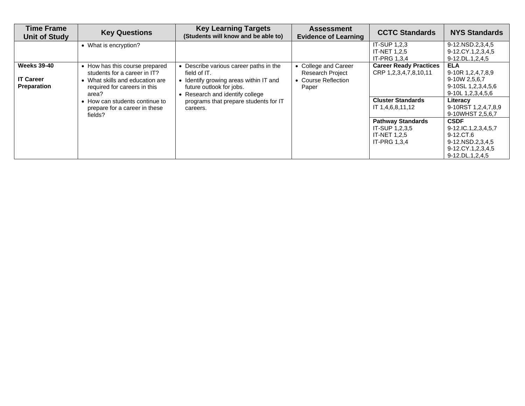| <b>Time Frame</b><br><b>Unit of Study</b>                    | <b>Key Questions</b>                                                                                                                                                                                                 | <b>Key Learning Targets</b><br>(Students will know and be able to)                                                                                              | <b>Assessment</b><br><b>Evidence of Learning</b>                                | <b>CCTC Standards</b>                                                             | <b>NYS Standards</b>                                                                                        |
|--------------------------------------------------------------|----------------------------------------------------------------------------------------------------------------------------------------------------------------------------------------------------------------------|-----------------------------------------------------------------------------------------------------------------------------------------------------------------|---------------------------------------------------------------------------------|-----------------------------------------------------------------------------------|-------------------------------------------------------------------------------------------------------------|
|                                                              | • What is encryption?                                                                                                                                                                                                |                                                                                                                                                                 |                                                                                 | IT-SUP 1,2,3<br><b>IT-NET 1.2.5</b><br>IT-PRG 1,3,4                               | 9-12.NSD.2,3,4,5<br>9-12.CY.1,2,3,4,5<br>9-12.DL.1,2,4,5                                                    |
| <b>Weeks 39-40</b><br><b>IT Career</b><br><b>Preparation</b> | • How has this course prepared<br>students for a career in IT?<br>What skills and education are<br>required for careers in this<br>area?<br>How can students continue to<br>prepare for a career in these<br>fields? | • Describe various career paths in the<br>field of IT.<br>• Identify growing areas within IT and<br>future outlook for jobs.<br>• Research and identify college | • College and Career<br><b>Research Project</b><br>• Course Reflection<br>Paper | <b>Career Ready Practices</b><br>CRP 1,2,3,4,7,8,10,11                            | <b>ELA</b><br>$9-10R$ 1,2,4,7,8,9<br>9-10W 2,5,6,7<br>9-10SL 1,2,3,4,5,6<br>9-10L 1,2,3,4,5,6               |
|                                                              |                                                                                                                                                                                                                      | programs that prepare students for IT<br>careers.                                                                                                               |                                                                                 | <b>Cluster Standards</b><br>IT 1,4,6,8,11,12                                      | Literacy<br>9-10RST 1,2,4,7,8,9<br>9-10WHST 2,5,6,7                                                         |
|                                                              |                                                                                                                                                                                                                      |                                                                                                                                                                 |                                                                                 | <b>Pathway Standards</b><br>IT-SUP 1,2,3,5<br><b>IT-NET 1.2.5</b><br>IT-PRG 1,3,4 | <b>CSDF</b><br>9-12.IC.1,2,3,4,5,7<br>9-12.CT.6<br>9-12.NSD.2,3,4,5<br>9-12.CY.1,2,3,4,5<br>9-12.DL.1,2,4,5 |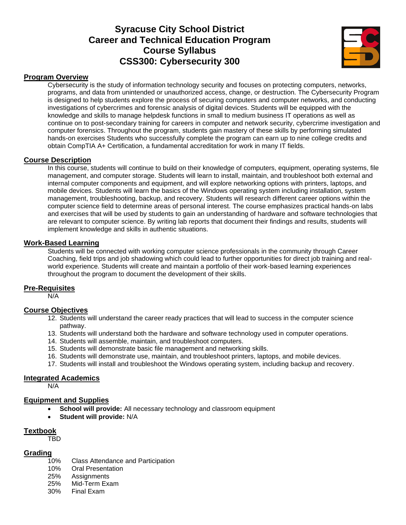# **Syracuse City School District Career and Technical Education Program Course Syllabus CSS300: Cybersecurity 300**



### **Program Overview**

Cybersecurity is the study of information technology security and focuses on protecting computers, networks, programs, and data from unintended or unauthorized access, change, or destruction. The Cybersecurity Program is designed to help students explore the process of securing computers and computer networks, and conducting investigations of cybercrimes and forensic analysis of digital devices. Students will be equipped with the knowledge and skills to manage helpdesk functions in small to medium business IT operations as well as continue on to post-secondary training for careers in computer and network security, cybercrime investigation and computer forensics. Throughout the program, students gain mastery of these skills by performing simulated hands-on exercises Students who successfully complete the program can earn up to nine college credits and obtain CompTIA A+ Certification, a fundamental accreditation for work in many IT fields.

#### **Course Description**

In this course, students will continue to build on their knowledge of computers, equipment, operating systems, file management, and computer storage. Students will learn to install, maintain, and troubleshoot both external and internal computer components and equipment, and will explore networking options with printers, laptops, and mobile devices. Students will learn the basics of the Windows operating system including installation, system management, troubleshooting, backup, and recovery. Students will research different career options within the computer science field to determine areas of personal interest. The course emphasizes practical hands-on labs and exercises that will be used by students to gain an understanding of hardware and software technologies that are relevant to computer science. By writing lab reports that document their findings and results, students will implement knowledge and skills in authentic situations.

#### **Work-Based Learning**

Students will be connected with working computer science professionals in the community through Career Coaching, field trips and job shadowing which could lead to further opportunities for direct job training and realworld experience. Students will create and maintain a portfolio of their work-based learning experiences throughout the program to document the development of their skills.

#### **Pre-Requisites**

N/A

#### **Course Objectives**

- 12. Students will understand the career ready practices that will lead to success in the computer science pathway.
- 13. Students will understand both the hardware and software technology used in computer operations.
- 14. Students will assemble, maintain, and troubleshoot computers.
- 15. Students will demonstrate basic file management and networking skills.
- 16. Students will demonstrate use, maintain, and troubleshoot printers, laptops, and mobile devices.
- 17. Students will install and troubleshoot the Windows operating system, including backup and recovery.

#### **Integrated Academics**

N/A

#### **Equipment and Supplies**

- **School will provide:** All necessary technology and classroom equipment
- **Student will provide:** N/A

#### **Textbook**

TBD

#### **Grading**

- 10% Class Attendance and Participation
- 10% Oral Presentation
- 25% Assignments
- 25% Mid-Term Exam
- 30% Final Exam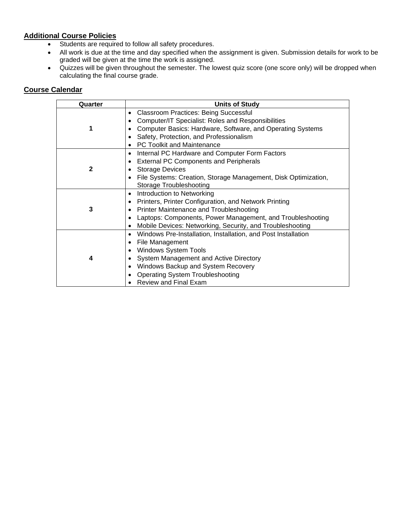# **Additional Course Policies**

- Students are required to follow all safety procedures.
- All work is due at the time and day specified when the assignment is given. Submission details for work to be graded will be given at the time the work is assigned.
- Quizzes will be given throughout the semester. The lowest quiz score (one score only) will be dropped when calculating the final course grade.

| Quarter      | <b>Units of Study</b>                                                                                                                                                                                                                                               |
|--------------|---------------------------------------------------------------------------------------------------------------------------------------------------------------------------------------------------------------------------------------------------------------------|
|              | <b>Classroom Practices: Being Successful</b><br>Computer/IT Specialist: Roles and Responsibilities<br>Computer Basics: Hardware, Software, and Operating Systems<br>Safety, Protection, and Professionalism<br><b>PC Toolkit and Maintenance</b>                    |
| $\mathbf{2}$ | Internal PC Hardware and Computer Form Factors<br>$\bullet$<br><b>External PC Components and Peripherals</b><br><b>Storage Devices</b><br>File Systems: Creation, Storage Management, Disk Optimization,<br>Storage Troubleshooting                                 |
| 3            | Introduction to Networking<br>Printers, Printer Configuration, and Network Printing<br>Printer Maintenance and Troubleshooting<br>Laptops: Components, Power Management, and Troubleshooting<br>Mobile Devices: Networking, Security, and Troubleshooting           |
| 4            | Windows Pre-Installation, Installation, and Post Installation<br>File Management<br><b>Windows System Tools</b><br>System Management and Active Directory<br>Windows Backup and System Recovery<br><b>Operating System Troubleshooting</b><br>Review and Final Exam |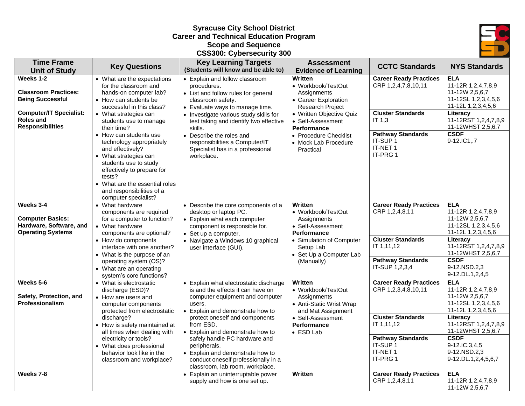# **Syracuse City School District Career and Technical Education Program Scope and Sequence CSS300: Cybersecurity 300**



| <b>Time Frame</b><br><b>Unit of Study</b>                                                                                                     | <b>Key Questions</b>                                                                                                                                                                                                                                                                                                                                                                                                                      | <b>Key Learning Targets</b><br>(Students will know and be able to)                                                                                                                                                                                                                                                                                                 | <b>Assessment</b><br><b>Evidence of Learning</b>                                                                                                                                                                                            | <b>CCTC Standards</b>                                                                                                                                                 | <b>NYS Standards</b>                                                                                                                                                                                              |
|-----------------------------------------------------------------------------------------------------------------------------------------------|-------------------------------------------------------------------------------------------------------------------------------------------------------------------------------------------------------------------------------------------------------------------------------------------------------------------------------------------------------------------------------------------------------------------------------------------|--------------------------------------------------------------------------------------------------------------------------------------------------------------------------------------------------------------------------------------------------------------------------------------------------------------------------------------------------------------------|---------------------------------------------------------------------------------------------------------------------------------------------------------------------------------------------------------------------------------------------|-----------------------------------------------------------------------------------------------------------------------------------------------------------------------|-------------------------------------------------------------------------------------------------------------------------------------------------------------------------------------------------------------------|
| Weeks 1-2<br><b>Classroom Practices:</b><br><b>Being Successful</b><br><b>Computer/IT Specialist:</b><br>Roles and<br><b>Responsibilities</b> | • What are the expectations<br>for the classroom and<br>hands-on computer lab?<br>• How can students be<br>successful in this class?<br>• What strategies can<br>students use to manage<br>their time?<br>• How can students use<br>technology appropriately<br>and effectively?<br>• What strategies can<br>students use to study<br>effectively to prepare for<br>tests?<br>• What are the essential roles<br>and responsibilities of a | • Explain and follow classroom<br>procedures.<br>• List and follow rules for general<br>classroom safety.<br>• Evaluate ways to manage time.<br>• Investigate various study skills for<br>test taking and identify two effective<br>skills.<br>• Describe the roles and<br>responsibilities a Computer/IT<br>Specialist has in a professional<br>workplace.        | <b>Written</b><br>• Workbook/TestOut<br>Assignments<br>• Career Exploration<br><b>Research Project</b><br>• Written Objective Quiz<br>• Self-Assessment<br><b>Performance</b><br>• Procedure Checklist<br>• Mock Lab Procedure<br>Practical | <b>Career Ready Practices</b><br>CRP 1,2,4,7,8,10,11<br><b>Cluster Standards</b><br>IT 1,3<br><b>Pathway Standards</b><br>IT-SUP <sub>1</sub><br>IT-NET 1<br>IT-PRG 1 | <b>ELA</b><br>11-12R 1,2,4,7,8,9<br>11-12W 2,5,6,7<br>11-12SL 1,2,3,4,5,6<br>11-12L 1,2,3,4,5,6<br>Literacy<br>11-12RST 1,2,4,7,8,9<br>11-12WHST 2,5,6,7<br><b>CSDF</b><br>9-12.IC1,.7                            |
| Weeks 3-4<br><b>Computer Basics:</b><br>Hardware, Software, and<br><b>Operating Systems</b>                                                   | computer specialist?<br>• What hardware<br>components are required<br>for a computer to function?<br>• What hardware<br>components are optional?<br>• How do components<br>interface with one another?<br>• What is the purpose of an                                                                                                                                                                                                     | • Describe the core components of a<br>desktop or laptop PC.<br>• Explain what each computer<br>component is responsible for.<br>• Set up a computer.<br>• Navigate a Windows 10 graphical<br>user interface (GUI).                                                                                                                                                | <b>Written</b><br>• Workbook/TestOut<br>Assignments<br>• Self-Assessment<br><b>Performance</b><br>• Simulation of Computer<br>Setup Lab<br>• Set Up a Computer Lab                                                                          | <b>Career Ready Practices</b><br>CRP 1,2,4,8,11<br><b>Cluster Standards</b><br>IT 1,11,12                                                                             | <b>ELA</b><br>11-12R 1,2,4,7,8,9<br>11-12W 2,5,6,7<br>11-12SL 1,2,3,4,5,6<br>11-12L 1,2,3,4,5,6<br>Literacy<br>11-12RST 1,2,4,7,8,9<br>11-12WHST 2,5,6,7                                                          |
| Weeks 5-6                                                                                                                                     | operating system (OS)?<br>• What are an operating<br>system's core functions?<br>• What is electrostatic                                                                                                                                                                                                                                                                                                                                  | • Explain what electrostatic discharge                                                                                                                                                                                                                                                                                                                             | (Manually)<br>Written                                                                                                                                                                                                                       | <b>Pathway Standards</b><br>IT-SUP 1,2,3,4<br><b>Career Ready Practices</b>                                                                                           | <b>CSDF</b><br>9-12.NSD.2.3<br>9-12.DL.1,2,4,5<br><b>ELA</b>                                                                                                                                                      |
| Safety, Protection, and<br>Professionalism                                                                                                    | discharge (ESD)?<br>• How are users and<br>computer components<br>protected from electrostatic<br>discharge?<br>• How is safety maintained at<br>all times when dealing with<br>electricity or tools?<br>• What does professional<br>behavior look like in the<br>classroom and workplace?                                                                                                                                                | is and the effects it can have on<br>computer equipment and computer<br>users.<br>Explain and demonstrate how to<br>protect oneself and components<br>from ESD.<br>• Explain and demonstrate how to<br>safely handle PC hardware and<br>peripherals.<br>• Explain and demonstrate how to<br>conduct oneself professionally in a<br>classroom, lab room, workplace. | • Workbook/TestOut<br>Assignments<br>• Anti-Static Wrist Wrap<br>and Mat Assignment<br>• Self-Assessment<br><b>Performance</b><br>• ESD Lab                                                                                                 | CRP 1,2,3,4,8,10,11<br><b>Cluster Standards</b><br>IT 1,11,12<br><b>Pathway Standards</b><br>IT-SUP <sub>1</sub><br>IT-NET 1<br>IT-PRG 1                              | 11-12R 1,2,4,7,8,9<br>11-12W 2,5,6,7<br>11-12SL 1,2,3,4,5,6<br>11-12L 1,2,3,4,5,6<br>Literacy<br>11-12RST 1,2,4,7,8,9<br>11-12WHST 2,5,6,7<br><b>CSDF</b><br>9-12.IC.3,4,5<br>9-12.NSD.2,3<br>9-12.DL.1,2,4,5,6,7 |
| Weeks 7-8                                                                                                                                     |                                                                                                                                                                                                                                                                                                                                                                                                                                           | • Explain an uninterruptable power<br>supply and how is one set up.                                                                                                                                                                                                                                                                                                | <b>Written</b>                                                                                                                                                                                                                              | <b>Career Ready Practices</b><br>CRP 1,2,4,8,11                                                                                                                       | <b>ELA</b><br>11-12R 1,2,4,7,8,9<br>11-12W 2,5,6,7                                                                                                                                                                |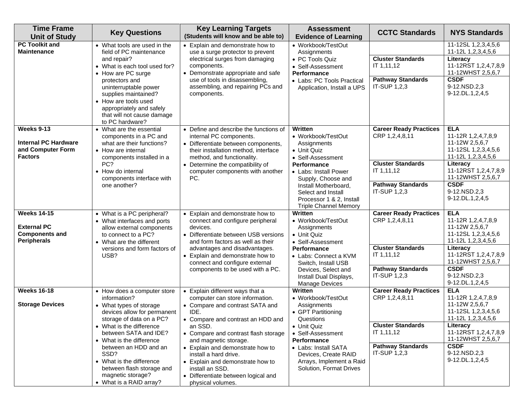| <b>Time Frame</b><br><b>Unit of Study</b>                                               | <b>Key Questions</b>                                                                                                                                                                                                                                                                                                                                         | <b>Key Learning Targets</b><br>(Students will know and be able to)                                                                                                                                                                                                                                                                                                                                             | <b>Assessment</b><br><b>Evidence of Learning</b>                                                                                                                                                                                                                | <b>CCTC Standards</b>                                                                                                                 | <b>NYS Standards</b>                                                                                                                                                                                       |
|-----------------------------------------------------------------------------------------|--------------------------------------------------------------------------------------------------------------------------------------------------------------------------------------------------------------------------------------------------------------------------------------------------------------------------------------------------------------|----------------------------------------------------------------------------------------------------------------------------------------------------------------------------------------------------------------------------------------------------------------------------------------------------------------------------------------------------------------------------------------------------------------|-----------------------------------------------------------------------------------------------------------------------------------------------------------------------------------------------------------------------------------------------------------------|---------------------------------------------------------------------------------------------------------------------------------------|------------------------------------------------------------------------------------------------------------------------------------------------------------------------------------------------------------|
| <b>PC Toolkit and</b><br><b>Maintenance</b>                                             | • What tools are used in the<br>field of PC maintenance<br>and repair?<br>• What is each tool used for?<br>• How are PC surge<br>protectors and<br>uninterruptable power<br>supplies maintained?<br>• How are tools used<br>appropriately and safely<br>that will not cause damage<br>to PC hardware?                                                        | • Explain and demonstrate how to<br>use a surge protector to prevent<br>electrical surges from damaging<br>components.<br>• Demonstrate appropriate and safe<br>use of tools in disassembling,<br>assembling, and repairing PCs and<br>components.                                                                                                                                                             | • Workbook/TestOut<br>Assignments<br>• PC Tools Quiz<br>• Self-Assessment<br>Performance<br>• Labs: PC Tools Practical<br>Application, Install a UPS                                                                                                            | <b>Cluster Standards</b><br>IT 1,11,12<br><b>Pathway Standards</b><br>IT-SUP 1,2,3                                                    | 11-12SL 1,2,3,4,5,6<br>11-12L 1,2,3,4,5,6<br>Literacy<br>11-12RST 1,2,4,7,8,9<br>11-12WHST 2,5,6,7<br><b>CSDF</b><br>9-12.NSD.2,3<br>9-12.DL.1,2,4,5                                                       |
| Weeks 9-13<br><b>Internal PC Hardware</b><br>and Computer Form<br><b>Factors</b>        | • What are the essential<br>components in a PC and<br>what are their functions?<br>• How are internal<br>components installed in a<br>PC?<br>• How do internal<br>components interface with<br>one another?                                                                                                                                                  | • Define and describe the functions of<br>internal PC components.<br>• Differentiate between components,<br>their installation method, interface<br>method, and functionality.<br>• Determine the compatibility of<br>computer components with another<br>PC.                                                                                                                                                  | Written<br>• Workbook/TestOut<br>Assignments<br>• Unit Quiz<br>• Self-Assessment<br><b>Performance</b><br>• Labs: Install Power<br>Supply, Choose and<br>Install Motherboard,<br>Select and Install<br>Processor 1 & 2, Install<br><b>Triple Channel Memory</b> | <b>Career Ready Practices</b><br>CRP 1,2,4,8,11<br><b>Cluster Standards</b><br>IT 1,11,12<br><b>Pathway Standards</b><br>IT-SUP 1,2,3 | <b>ELA</b><br>11-12R 1,2,4,7,8,9<br>11-12W 2,5,6,7<br>11-12SL 1,2,3,4,5,6<br>11-12L 1,2,3,4,5,6<br>Literacy<br>11-12RST 1,2,4,7,8,9<br>11-12WHST 2,5,6,7<br><b>CSDF</b><br>9-12.NSD.2,3<br>9-12.DL.1,2,4,5 |
| <b>Weeks 14-15</b><br><b>External PC</b><br><b>Components and</b><br><b>Peripherals</b> | • What is a PC peripheral?<br>• What interfaces and ports<br>allow external components<br>to connect to a PC?<br>• What are the different<br>versions and form factors of<br>USB?                                                                                                                                                                            | • Explain and demonstrate how to<br>connect and configure peripheral<br>devices.<br>• Differentiate between USB versions<br>and form factors as well as their<br>advantages and disadvantages.<br>• Explain and demonstrate how to<br>connect and configure external<br>components to be used with a PC.                                                                                                       | Written<br>• Workbook/TestOut<br>Assignments<br>• Unit Quiz<br>• Self-Assessment<br><b>Performance</b><br>• Labs: Connect a KVM<br>Switch, Install USB<br>Devices, Select and<br>Install Dual Displays,<br><b>Manage Devices</b>                                | <b>Career Ready Practices</b><br>CRP 1,2,4,8,11<br><b>Cluster Standards</b><br>IT 1,11,12<br><b>Pathway Standards</b><br>IT-SUP 1,2,3 | <b>ELA</b><br>11-12R 1,2,4,7,8,9<br>11-12W 2,5,6,7<br>11-12SL 1,2,3,4,5,6<br>11-12L 1,2,3,4,5,6<br>Literacy<br>11-12RST 1,2,4,7,8,9<br>11-12WHST 2,5,6,7<br><b>CSDF</b><br>9-12.NSD.2,3<br>9-12.DL.1,2,4,5 |
| <b>Weeks 16-18</b><br><b>Storage Devices</b>                                            | • How does a computer store<br>information?<br>• What types of storage<br>devices allow for permanent<br>storage of data on a PC?<br>• What is the difference<br>between SATA and IDE?<br>• What is the difference<br>between an HDD and an<br>SSD?<br>• What is the difference<br>between flash storage and<br>magnetic storage?<br>• What is a RAID array? | • Explain different ways that a<br>computer can store information.<br>• Compare and contrast SATA and<br>IDE.<br>• Compare and contrast an HDD and<br>an SSD.<br>• Compare and contrast flash storage<br>and magnetic storage.<br>• Explain and demonstrate how to<br>install a hard drive.<br>• Explain and demonstrate how to<br>install an SSD.<br>• Differentiate between logical and<br>physical volumes. | Written<br>• Workbook/TestOut<br>Assignments<br>• GPT Partitioning<br>Questions<br>• Unit Quiz<br>• Self-Assessment<br><b>Performance</b><br>• Labs: Install SATA<br>Devices, Create RAID<br>Arrays, Implement a Raid<br>Solution, Format Drives                | <b>Career Ready Practices</b><br>CRP 1,2,4,8,11<br><b>Cluster Standards</b><br>IT 1,11,12<br><b>Pathway Standards</b><br>IT-SUP 1,2,3 | <b>ELA</b><br>11-12R 1,2,4,7,8,9<br>11-12W 2,5,6,7<br>11-12SL 1,2,3,4,5,6<br>11-12L 1.2.3.4.5.6<br>Literacy<br>11-12RST 1,2,4,7,8,9<br>11-12WHST 2,5,6,7<br><b>CSDF</b><br>9-12.NSD.2,3<br>9-12.DL.1,2,4,5 |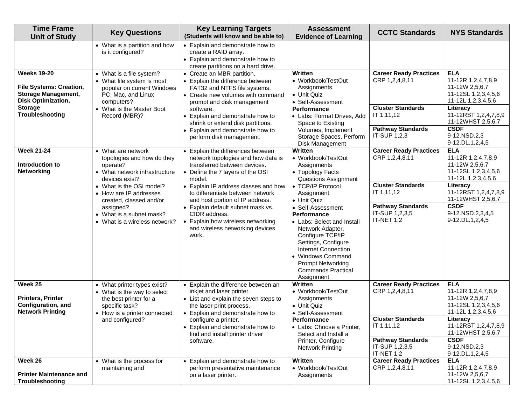| <b>Time Frame</b><br><b>Unit of Study</b>                                                                                                            | <b>Key Questions</b>                                                                                                                                                                                                                                                       | <b>Key Learning Targets</b><br>(Students will know and be able to)                                                                                                                                                                                                                                                                                                                                        | <b>Assessment</b><br><b>Evidence of Learning</b>                                                                                                                                                                                                                                                                                                                                                             | <b>CCTC Standards</b>                                                                                                                                 | <b>NYS Standards</b>                                                                                                                                                                                           |
|------------------------------------------------------------------------------------------------------------------------------------------------------|----------------------------------------------------------------------------------------------------------------------------------------------------------------------------------------------------------------------------------------------------------------------------|-----------------------------------------------------------------------------------------------------------------------------------------------------------------------------------------------------------------------------------------------------------------------------------------------------------------------------------------------------------------------------------------------------------|--------------------------------------------------------------------------------------------------------------------------------------------------------------------------------------------------------------------------------------------------------------------------------------------------------------------------------------------------------------------------------------------------------------|-------------------------------------------------------------------------------------------------------------------------------------------------------|----------------------------------------------------------------------------------------------------------------------------------------------------------------------------------------------------------------|
|                                                                                                                                                      | • What is a partition and how<br>is it configured?                                                                                                                                                                                                                         | • Explain and demonstrate how to<br>create a RAID array.<br>• Explain and demonstrate how to<br>create partitions on a hard drive.                                                                                                                                                                                                                                                                        |                                                                                                                                                                                                                                                                                                                                                                                                              |                                                                                                                                                       |                                                                                                                                                                                                                |
| <b>Weeks 19-20</b><br><b>File Systems: Creation,</b><br><b>Storage Management,</b><br><b>Disk Optimization,</b><br><b>Storage</b><br>Troubleshooting | • What is a file system?<br>• What file system is most<br>popular on current Windows<br>PC, Mac, and Linux<br>computers?<br>• What is the Master Boot<br>Record (MBR)?                                                                                                     | • Create an MBR partition.<br>• Explain the difference between<br>FAT32 and NTFS file systems.<br>• Create new volumes with command<br>prompt and disk management<br>software.<br>• Explain and demonstrate how to<br>shrink or extend disk partitions.<br>• Explain and demonstrate how to<br>perform disk management.                                                                                   | Written<br>• Workbook/TestOut<br>Assignments<br>• Unit Quiz<br>• Self-Assessment<br><b>Performance</b><br>• Labs: Format Drives, Add<br>Space to Existing<br>Volumes, Implement<br>Storage Spaces, Perform<br>Disk Management                                                                                                                                                                                | <b>Career Ready Practices</b><br>CRP 1,2,4,8,11<br><b>Cluster Standards</b><br>IT 1,11,12<br><b>Pathway Standards</b><br>IT-SUP 1,2,3                 | <b>ELA</b><br>11-12R 1,2,4,7,8,9<br>11-12W 2,5,6,7<br>11-12SL 1,2,3,4,5,6<br>11-12L 1,2,3,4,5,6<br>Literacy<br>11-12RST 1,2,4,7,8,9<br>11-12WHST 2,5,6,7<br><b>CSDF</b><br>9-12.NSD.2,3<br>9-12.DL.1,2,4,5     |
| <b>Week 21-24</b><br>Introduction to<br><b>Networking</b>                                                                                            | • What are network<br>topologies and how do they<br>operate?<br>• What network infrastructure<br>devices exist?<br>• What is the OSI model?<br>• How are IP addresses<br>created, classed and/or<br>assigned?<br>• What is a subnet mask?<br>• What is a wireless network? | • Explain the differences between<br>network topologies and how data is<br>transferred between devices.<br>• Define the 7 layers of the OSI<br>model.<br>• Explain IP address classes and how<br>to differentiate between network<br>and host portion of IP address.<br>• Explain default subnet mask vs.<br>CIDR address.<br>Explain how wireless networking<br>and wireless networking devices<br>work. | Written<br>• Workbook/TestOut<br>Assignments<br>• Topology Facts<br>Questions Assignment<br>• TCP/IP Protocol<br>Assignment<br>• Unit Quiz<br>• Self-Assessment<br><b>Performance</b><br>• Labs: Select and Install<br>Network Adapter,<br>Configure TCP/IP<br>Settings, Configure<br><b>Internet Connection</b><br>• Windows Command<br><b>Prompt Networking</b><br><b>Commands Practical</b><br>Assignment | <b>Career Ready Practices</b><br>CRP 1,2,4,8,11<br><b>Cluster Standards</b><br>IT 1,11,12<br><b>Pathway Standards</b><br>IT-SUP 1,2,3,5<br>IT-NET 1,2 | <b>ELA</b><br>11-12R 1,2,4,7,8,9<br>11-12W 2,5,6,7<br>11-12SL 1,2,3,4,5,6<br>11-12L 1,2,3,4,5,6<br>Literacy<br>11-12RST 1,2,4,7,8,9<br>11-12WHST 2,5,6,7<br><b>CSDF</b><br>9-12.NSD.2,3,4,5<br>9-12.DL.1,2,4,5 |
| Week 25<br><b>Printers, Printer</b><br>Configuration, and<br><b>Network Printing</b>                                                                 | • What printer types exist?<br>• What is the way to select<br>the best printer for a<br>specific task?<br>• How is a printer connected<br>and configured?                                                                                                                  | • Explain the difference between an<br>inkjet and laser printer.<br>• List and explain the seven steps to<br>the laser print process.<br>• Explain and demonstrate how to<br>configure a printer.<br>• Explain and demonstrate how to<br>find and install printer driver<br>software.                                                                                                                     | Written<br>• Workbook/TestOut<br>Assignments<br>• Unit Quiz<br>• Self-Assessment<br>Performance<br>• Labs: Choose a Printer,<br>Select and Install a<br>Printer, Configure<br><b>Network Printing</b>                                                                                                                                                                                                        | <b>Career Ready Practices</b><br>CRP 1,2,4,8,11<br><b>Cluster Standards</b><br>IT 1,11,12<br><b>Pathway Standards</b><br>IT-SUP 1,2,3,5<br>IT-NET 1,2 | <b>ELA</b><br>11-12R 1,2,4,7,8,9<br>11-12W 2,5,6,7<br>11-12SL 1,2,3,4,5,6<br>11-12L 1,2,3,4,5,6<br>Literacy<br>11-12RST 1,2,4,7,8,9<br>11-12WHST 2,5,6,7<br><b>CSDF</b><br>9-12.NSD.2,3<br>9-12.DL.1,2,4,5     |
| Week 26<br><b>Printer Maintenance and</b><br>Troubleshooting                                                                                         | • What is the process for<br>maintaining and                                                                                                                                                                                                                               | • Explain and demonstrate how to<br>perform preventative maintenance<br>on a laser printer.                                                                                                                                                                                                                                                                                                               | Written<br>• Workbook/TestOut<br>Assignments                                                                                                                                                                                                                                                                                                                                                                 | <b>Career Ready Practices</b><br>CRP 1,2,4,8,11                                                                                                       | <b>ELA</b><br>11-12R 1,2,4,7,8,9<br>11-12W 2,5,6,7<br>11-12SL 1,2,3,4,5,6                                                                                                                                      |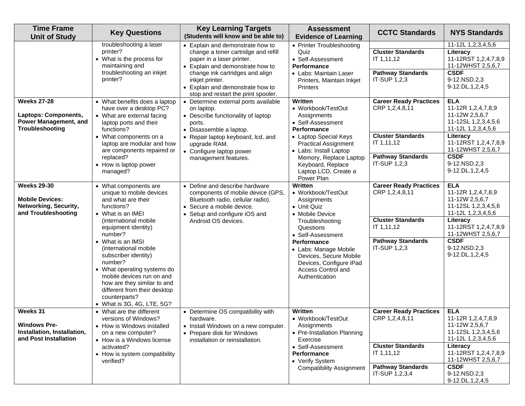| <b>Time Frame</b><br><b>Unit of Study</b>                                                     | <b>Key Questions</b>                                                                                                                                                                                                                                                                                                                                                                                                               | <b>Key Learning Targets</b><br>(Students will know and be able to)                                                                                                                                                                                                                                                                                                                                                                                                                                             | <b>Assessment</b><br><b>Evidence of Learning</b>                                                                                                                                                                                                                                                                                                       | <b>CCTC Standards</b>                                                                                                                                                                                                       | <b>NYS Standards</b>                                                                                                                                                                                                                                                                                                     |
|-----------------------------------------------------------------------------------------------|------------------------------------------------------------------------------------------------------------------------------------------------------------------------------------------------------------------------------------------------------------------------------------------------------------------------------------------------------------------------------------------------------------------------------------|----------------------------------------------------------------------------------------------------------------------------------------------------------------------------------------------------------------------------------------------------------------------------------------------------------------------------------------------------------------------------------------------------------------------------------------------------------------------------------------------------------------|--------------------------------------------------------------------------------------------------------------------------------------------------------------------------------------------------------------------------------------------------------------------------------------------------------------------------------------------------------|-----------------------------------------------------------------------------------------------------------------------------------------------------------------------------------------------------------------------------|--------------------------------------------------------------------------------------------------------------------------------------------------------------------------------------------------------------------------------------------------------------------------------------------------------------------------|
| <b>Weeks 27-28</b><br>Laptops: Components,<br><b>Power Management, and</b><br>Troubleshooting | troubleshooting a laser<br>printer?<br>• What is the process for<br>maintaining and<br>troubleshooting an inkjet<br>printer?<br>• What benefits does a laptop<br>have over a desktop PC?<br>• What are external facing<br>laptop ports and their<br>functions?<br>• What components on a<br>laptop are modular and how<br>are components repaired or<br>replaced?                                                                  | • Explain and demonstrate how to<br>change a toner cartridge and refill<br>paper in a laser printer.<br>Explain and demonstrate how to<br>change ink cartridges and align<br>inkjet printer.<br>• Explain and demonstrate how to<br>stop and restart the print spooler.<br>Determine external ports available<br>on laptop.<br>• Describe functionality of laptop<br>ports.<br>• Disassemble a laptop.<br>Repair laptop keyboard, lcd, and<br>upgrade RAM.<br>• Configure laptop power<br>management features. | • Printer Troubleshooting<br>Quiz<br>• Self-Assessment<br><b>Performance</b><br>• Labs: Maintain Laser<br>Printers, Maintain Inkjet<br>Printers<br>Written<br>• Workbook/TestOut<br>Assignments<br>• Self-Assessment<br><b>Performance</b><br>• Laptop Special Keys<br><b>Practical Assignment</b><br>• Labs: Install Laptop<br>Memory, Replace Laptop | <b>Cluster Standards</b><br>IT 1,11,12<br><b>Pathway Standards</b><br>IT-SUP 1,2,3<br><b>Career Ready Practices</b><br>CRP 1,2,4,8,11<br><b>Cluster Standards</b><br>IT 1,11,12<br><b>Pathway Standards</b><br>IT-SUP 1,2,3 | 11-12L 1,2,3,4,5,6<br>Literacy<br>11-12RST 1,2,4,7,8,9<br>11-12WHST 2,5,6,7<br><b>CSDF</b><br>9-12.NSD.2,3<br>9-12.DL.1,2,4,5<br><b>ELA</b><br>11-12R 1,2,4,7,8,9<br>11-12W 2,5,6,7<br>11-12SL 1,2,3,4,5,6<br>11-12L 1,2,3,4,5,6<br>Literacy<br>11-12RST 1,2,4,7,8,9<br>11-12WHST 2,5,6,7<br><b>CSDF</b><br>9-12.NSD.2,3 |
|                                                                                               | • How is laptop power<br>managed?                                                                                                                                                                                                                                                                                                                                                                                                  |                                                                                                                                                                                                                                                                                                                                                                                                                                                                                                                | Keyboard, Replace<br>Laptop LCD, Create a<br>Power Plan                                                                                                                                                                                                                                                                                                |                                                                                                                                                                                                                             | 9-12.DL.1,2,4,5                                                                                                                                                                                                                                                                                                          |
| <b>Weeks 29-30</b><br><b>Mobile Devices:</b><br>Networking, Security,<br>and Troubleshooting  | • What components are<br>unique to mobile devices<br>and what are their<br>functions?<br>• What is an IMEI<br>(international mobile)<br>equipment identity)<br>number?<br>• What is an IMSI<br>(international mobile)<br>subscriber identity)<br>number?<br>• What operating systems do<br>mobile devices run on and<br>how are they similar to and<br>different from their desktop<br>counterparts?<br>• What is 3G, 4G, LTE, 5G? | • Define and describe hardware<br>components of mobile device (GPS,<br>Bluetooth radio, cellular radio).<br>• Secure a mobile device.<br>• Setup and configure iOS and<br>Android OS devices.                                                                                                                                                                                                                                                                                                                  | Written<br>• Workbook/TestOut<br>Assignments<br>• Unit Quiz<br>• Mobile Device<br>Troubleshooting<br>Questions<br>• Self-Assessment<br><b>Performance</b><br>• Labs: Manage Mobile<br>Devices, Secure Mobile<br>Devices, Configure iPad<br>Access Control and<br>Authentication                                                                        | <b>Career Ready Practices</b><br>CRP 1,2,4,8,11<br><b>Cluster Standards</b><br>IT 1,11,12<br><b>Pathway Standards</b><br>IT-SUP 1,2,3                                                                                       | <b>ELA</b><br>11-12R 1,2,4,7,8,9<br>11-12W 2,5,6,7<br>11-12SL 1,2,3,4,5,6<br>11-12L 1,2,3,4,5,6<br>Literacy<br>11-12RST 1,2,4,7,8,9<br>11-12WHST 2,5,6,7<br><b>CSDF</b><br>9-12.NSD.2,3<br>9-12.DL.1,2,4,5                                                                                                               |
| Weeks 31<br><b>Windows Pre-</b><br>Installation, Installation,<br>and Post Installation       | • What are the different<br>versions of Windows?<br>• How is Windows installed<br>on a new computer?<br>• How is a Windows license<br>activated?<br>• How is system compatibility<br>verified?                                                                                                                                                                                                                                     | • Determine OS compatibility with<br>hardware.<br>• Install Windows on a new computer.<br>• Prepare disk for Windows<br>installation or reinstallation.                                                                                                                                                                                                                                                                                                                                                        | Written<br>• Workbook/TestOut<br>Assignments<br>• Pre-Installation Planning<br>Exercise<br>• Self-Assessment<br><b>Performance</b><br>• Verify System<br><b>Compatibility Assignment</b>                                                                                                                                                               | <b>Career Ready Practices</b><br>CRP 1,2,4,8,11<br><b>Cluster Standards</b><br>IT 1,11,12<br><b>Pathway Standards</b><br>IT-SUP 1,2,3,4                                                                                     | <b>ELA</b><br>11-12R 1,2,4,7,8,9<br>11-12W 2,5,6,7<br>11-12SL 1,2,3,4,5,6<br>11-12L 1,2,3,4,5,6<br>Literacy<br>11-12RST 1,2,4,7,8,9<br>11-12WHST 2,5,6,7<br><b>CSDF</b><br>9-12.NSD.2,3<br>9-12.DL.1,2,4,5                                                                                                               |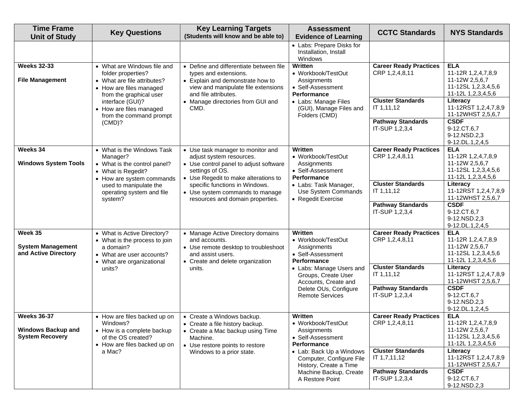| <b>Time Frame</b><br><b>Unit of Study</b>                                 | <b>Key Questions</b>                                                                                                                   | <b>Key Learning Targets</b><br>(Students will know and be able to)                                                                                                  | <b>Assessment</b><br><b>Evidence of Learning</b>                                                         | <b>CCTC Standards</b>                                                | <b>NYS Standards</b>                                                                            |
|---------------------------------------------------------------------------|----------------------------------------------------------------------------------------------------------------------------------------|---------------------------------------------------------------------------------------------------------------------------------------------------------------------|----------------------------------------------------------------------------------------------------------|----------------------------------------------------------------------|-------------------------------------------------------------------------------------------------|
|                                                                           |                                                                                                                                        |                                                                                                                                                                     | • Labs: Prepare Disks for<br>Installation, Install<br>Windows                                            |                                                                      |                                                                                                 |
| <b>Weeks 32-33</b><br><b>File Management</b>                              | • What are Windows file and<br>folder properties?<br>• What are file attributes?<br>• How are files managed<br>from the graphical user | • Define and differentiate between file<br>types and extensions.<br>• Explain and demonstrate how to<br>view and manipulate file extensions<br>and file attributes. | Written<br>• Workbook/TestOut<br>Assignments<br>• Self-Assessment<br><b>Performance</b>                  | <b>Career Ready Practices</b><br>CRP 1,2,4,8,11                      | <b>ELA</b><br>11-12R 1,2,4,7,8,9<br>11-12W 2,5,6,7<br>11-12SL 1,2,3,4,5,6<br>11-12L 1,2,3,4,5,6 |
|                                                                           | interface (GUI)?<br>• Manage directories from GUI and<br>• How are files managed<br>CMD.<br>from the command prompt<br>(CMD)?          | • Labs: Manage Files<br>(GUI), Manage Files and<br>Folders (CMD)                                                                                                    | <b>Cluster Standards</b><br>IT 1,11,12<br><b>Pathway Standards</b>                                       | Literacy<br>11-12RST 1,2,4,7,8,9<br>11-12WHST 2,5,6,7<br><b>CSDF</b> |                                                                                                 |
|                                                                           |                                                                                                                                        |                                                                                                                                                                     |                                                                                                          | IT-SUP 1,2,3,4                                                       | 9-12.CT.6,7<br>9-12.NSD.2,3<br>9-12.DL.1,2,4,5                                                  |
| Weeks 34<br><b>Windows System Tools</b>                                   | • What is the Windows Task<br>Manager?<br>• What is the control panel?<br>• What is Regedit?<br>• How are system commands              | • Use task manager to monitor and<br>adjust system resources.<br>• Use control panel to adjust software<br>settings of OS.<br>• Use Regedit to make alterations to  | Written<br>• Workbook/TestOut<br>Assignments<br>• Self-Assessment<br>Performance                         | <b>Career Ready Practices</b><br>CRP 1,2,4,8,11                      | <b>ELA</b><br>11-12R 1,2,4,7,8,9<br>11-12W 2,5,6,7<br>11-12SL 1,2,3,4,5,6<br>11-12L 1,2,3,4,5,6 |
| used to manipulate the<br>operating system and file<br>system?            | specific functions in Windows.<br>• Use system commands to manage<br>resources and domain properties.                                  | • Labs: Task Manager,<br>Use System Commands<br>• Regedit Exercise                                                                                                  | <b>Cluster Standards</b><br>IT 1,11,12                                                                   | Literacy<br>11-12RST 1,2,4,7,8,9<br>11-12WHST 2,5,6,7                |                                                                                                 |
|                                                                           |                                                                                                                                        |                                                                                                                                                                     |                                                                                                          | <b>Pathway Standards</b><br>IT-SUP 1,2,3,4                           | <b>CSDF</b><br>9-12.CT.6,7<br>9-12.NSD.2,3<br>9-12.DL.1,2,4,5                                   |
| Week 35<br><b>System Management</b><br>and Active Directory               | • What is Active Directory?<br>• What is the process to join<br>a domain?<br>• What are user accounts?<br>• What are organizational    | • Manage Active Directory domains<br>and accounts.<br>• Use remote desktop to troubleshoot<br>and assist users.<br>• Create and delete organization                 | <b>Written</b><br>• Workbook/TestOut<br>Assignments<br>• Self-Assessment<br><b>Performance</b>           | <b>Career Ready Practices</b><br>CRP 1,2,4,8,11                      | <b>ELA</b><br>11-12R 1,2,4,7,8,9<br>11-12W 2,5,6,7<br>11-12SL 1,2,3,4,5,6<br>11-12L 1,2,3,4,5,6 |
|                                                                           | units.<br>units?<br>Groups, Create User<br>Accounts, Create and                                                                        | • Labs: Manage Users and                                                                                                                                            | <b>Cluster Standards</b><br>IT 1,11,12                                                                   | Literacy<br>11-12RST 1,2,4,7,8,9<br>11-12WHST 2,5,6,7                |                                                                                                 |
|                                                                           |                                                                                                                                        |                                                                                                                                                                     | Delete OUs, Configure<br><b>Remote Services</b>                                                          | <b>Pathway Standards</b><br>IT-SUP 1,2,3,4                           | <b>CSDF</b><br>9-12.CT.6,7<br>9-12.NSD.2,3<br>9-12.DL.1,2,4,5                                   |
| <b>Weeks 36-37</b><br><b>Windows Backup and</b><br><b>System Recovery</b> | • How are files backed up on<br>Windows?<br>• How is a complete backup<br>of the OS created?<br>• How are files backed up on           | • Create a Windows backup.<br>• Create a file history backup.<br>• Create a Mac backup using Time<br>Machine.<br>• Use restore points to restore                    | Written<br>• Workbook/TestOut<br>Assignments<br>• Self-Assessment<br>Performance                         | <b>Career Ready Practices</b><br>CRP 1,2,4,8,11                      | <b>ELA</b><br>11-12R 1,2,4,7,8,9<br>11-12W 2,5,6,7<br>11-12SL 1,2,3,4,5,6<br>11-12L 1,2,3,4,5,6 |
|                                                                           | a Mac?                                                                                                                                 | Windows to a prior state.                                                                                                                                           | • Lab: Back Up a Windows<br>Computer, Configure File<br>History, Create a Time<br>Machine Backup, Create | <b>Cluster Standards</b><br>IT 1,7,11,12<br><b>Pathway Standards</b> | Literacy<br>11-12RST 1,2,4,7,8,9<br>11-12WHST 2,5,6,7<br><b>CSDF</b>                            |
|                                                                           |                                                                                                                                        |                                                                                                                                                                     | A Restore Point                                                                                          | IT-SUP 1,2,3,4                                                       | 9-12.CT.6,7<br>9-12.NSD.2,3                                                                     |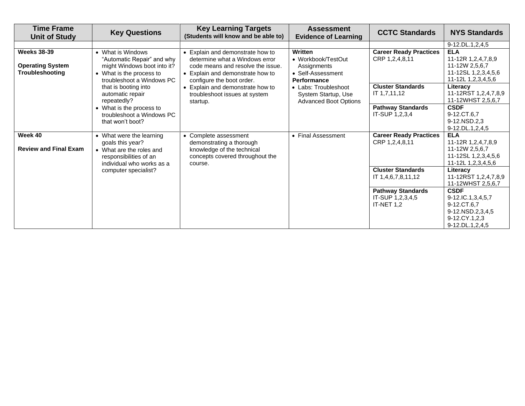| <b>Time Frame</b><br><b>Unit of Study</b>                        | <b>Key Questions</b>                                                                                                                    | <b>Key Learning Targets</b><br>(Students will know and be able to)                                                                                                   | <b>Assessment</b><br><b>Evidence of Learning</b>                                        | <b>CCTC Standards</b>                                      | <b>NYS Standards</b>                                                                                    |
|------------------------------------------------------------------|-----------------------------------------------------------------------------------------------------------------------------------------|----------------------------------------------------------------------------------------------------------------------------------------------------------------------|-----------------------------------------------------------------------------------------|------------------------------------------------------------|---------------------------------------------------------------------------------------------------------|
|                                                                  |                                                                                                                                         |                                                                                                                                                                      |                                                                                         |                                                            | 9-12.DL.1,2,4,5                                                                                         |
| <b>Weeks 38-39</b><br><b>Operating System</b><br>Troubleshooting | • What is Windows<br>"Automatic Repair" and why<br>might Windows boot into it?<br>• What is the process to<br>troubleshoot a Windows PC | Explain and demonstrate how to<br>determine what a Windows error<br>code means and resolve the issue.<br>Explain and demonstrate how to<br>configure the boot order. | Written<br>• Workbook/TestOut<br>Assignments<br>• Self-Assessment<br><b>Performance</b> | <b>Career Ready Practices</b><br>CRP 1,2,4,8,11            | <b>ELA</b><br>11-12R 1,2,4,7,8,9<br>11-12W 2,5,6,7<br>11-12SL 1,2,3,4,5,6<br>11-12L 1,2,3,4,5,6         |
|                                                                  | that is booting into<br>automatic repair<br>repeatedly?                                                                                 | Explain and demonstrate how to<br>troubleshoot issues at system<br>startup.                                                                                          | • Labs: Troubleshoot<br>System Startup, Use<br><b>Advanced Boot Options</b>             | <b>Cluster Standards</b><br>IT 1,7,11,12                   | Literacy<br>11-12RST 1,2,4,7,8,9<br>11-12WHST 2,5,6,7                                                   |
|                                                                  | • What is the process to<br>troubleshoot a Windows PC<br>that won't boot?                                                               |                                                                                                                                                                      |                                                                                         | <b>Pathway Standards</b><br>IT-SUP 1,2,3,4                 | <b>CSDF</b><br>9-12.CT.6.7<br>9-12.NSD.2,3<br>9-12.DL.1,2,4,5                                           |
| Week 40<br><b>Review and Final Exam</b>                          | • What were the learning<br>goals this year?<br>• What are the roles and<br>responsibilities of an<br>individual who works as a         | Complete assessment<br>demonstrating a thorough<br>knowledge of the technical<br>concepts covered throughout the<br>course.                                          | • Final Assessment                                                                      | <b>Career Ready Practices</b><br>CRP 1,2,4,8,11            | <b>ELA</b><br>11-12R 1,2,4,7,8,9<br>11-12W 2,5,6,7<br>11-12SL 1,2,3,4,5,6<br>11-12L 1,2,3,4,5,6         |
|                                                                  | computer specialist?                                                                                                                    |                                                                                                                                                                      |                                                                                         | <b>Cluster Standards</b><br>IT 1,4,6,7,8,11,12             | Literacy<br>11-12RST 1,2,4,7,8,9<br>11-12WHST 2,5,6,7                                                   |
|                                                                  |                                                                                                                                         |                                                                                                                                                                      |                                                                                         | <b>Pathway Standards</b><br>IT-SUP 1,2,3,4,5<br>IT-NET 1,2 | <b>CSDF</b><br>9-12.IC.1,3,4,5,7<br>9-12.CT.6,7<br>9-12.NSD.2,3,4,5<br>9-12.CY.1,2,3<br>9-12.DL.1,2,4,5 |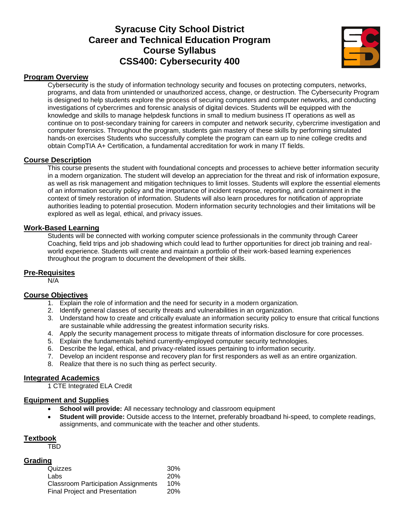# **Syracuse City School District Career and Technical Education Program Course Syllabus CSS400: Cybersecurity 400**



#### **Program Overview**

Cybersecurity is the study of information technology security and focuses on protecting computers, networks, programs, and data from unintended or unauthorized access, change, or destruction. The Cybersecurity Program is designed to help students explore the process of securing computers and computer networks, and conducting investigations of cybercrimes and forensic analysis of digital devices. Students will be equipped with the knowledge and skills to manage helpdesk functions in small to medium business IT operations as well as continue on to post-secondary training for careers in computer and network security, cybercrime investigation and computer forensics. Throughout the program, students gain mastery of these skills by performing simulated hands-on exercises Students who successfully complete the program can earn up to nine college credits and obtain CompTIA A+ Certification, a fundamental accreditation for work in many IT fields.

#### **Course Description**

This course presents the student with foundational concepts and processes to achieve better information security in a modern organization. The student will develop an appreciation for the threat and risk of information exposure, as well as risk management and mitigation techniques to limit losses. Students will explore the essential elements of an information security policy and the importance of incident response, reporting, and containment in the context of timely restoration of information. Students will also learn procedures for notification of appropriate authorities leading to potential prosecution. Modern information security technologies and their limitations will be explored as well as legal, ethical, and privacy issues.

#### **Work-Based Learning**

Students will be connected with working computer science professionals in the community through Career Coaching, field trips and job shadowing which could lead to further opportunities for direct job training and realworld experience. Students will create and maintain a portfolio of their work-based learning experiences throughout the program to document the development of their skills.

#### **Pre-Requisites**

N/A

### **Course Objectives**

- 1. Explain the role of information and the need for security in a modern organization.
- 2. Identify general classes of security threats and vulnerabilities in an organization.
- 3. Understand how to create and critically evaluate an information security policy to ensure that critical functions are sustainable while addressing the greatest information security risks.
- 4. Apply the security management process to mitigate threats of information disclosure for core processes.
- 5. Explain the fundamentals behind currently-employed computer security technologies.
- 6. Describe the legal, ethical, and privacy-related issues pertaining to information security.
- 7. Develop an incident response and recovery plan for first responders as well as an entire organization.
- 8. Realize that there is no such thing as perfect security.

#### **Integrated Academics**

1 CTE Integrated ELA Credit

#### **Equipment and Supplies**

- **School will provide:** All necessary technology and classroom equipment
- **Student will provide:** Outside access to the Internet, preferably broadband hi-speed, to complete readings, assignments, and communicate with the teacher and other students.

#### **Textbook**

TBD

#### **Grading**

| Quizzes                                    | 30%        |
|--------------------------------------------|------------|
| Labs                                       | <b>20%</b> |
| <b>Classroom Participation Assignments</b> | 10%        |
| <b>Final Project and Presentation</b>      | <b>20%</b> |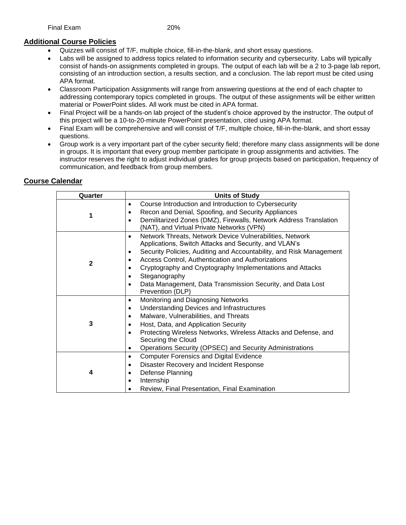## **Additional Course Policies**

- Quizzes will consist of T/F, multiple choice, fill-in-the-blank, and short essay questions.
- Labs will be assigned to address topics related to information security and cybersecurity. Labs will typically consist of hands-on assignments completed in groups. The output of each lab will be a 2 to 3-page lab report, consisting of an introduction section, a results section, and a conclusion. The lab report must be cited using APA format.
- Classroom Participation Assignments will range from answering questions at the end of each chapter to addressing contemporary topics completed in groups. The output of these assignments will be either written material or PowerPoint slides. All work must be cited in APA format.
- Final Project will be a hands-on lab project of the student's choice approved by the instructor. The output of this project will be a 10-to-20-minute PowerPoint presentation, cited using APA format.
- Final Exam will be comprehensive and will consist of T/F, multiple choice, fill-in-the-blank, and short essay questions.
- Group work is a very important part of the cyber security field; therefore many class assignments will be done in groups. It is important that every group member participate in group assignments and activities. The instructor reserves the right to adjust individual grades for group projects based on participation, frequency of communication, and feedback from group members.

| Quarter      | <b>Units of Study</b>                                                                                                                                                                                                                                                                                                                                                                                                                                             |
|--------------|-------------------------------------------------------------------------------------------------------------------------------------------------------------------------------------------------------------------------------------------------------------------------------------------------------------------------------------------------------------------------------------------------------------------------------------------------------------------|
| 1            | Course Introduction and Introduction to Cybersecurity<br>٠<br>Recon and Denial, Spoofing, and Security Appliances<br>$\bullet$<br>Demilitarized Zones (DMZ), Firewalls, Network Address Translation<br>$\bullet$<br>(NAT), and Virtual Private Networks (VPN)                                                                                                                                                                                                     |
| $\mathbf{2}$ | Network Threats, Network Device Vulnerabilities, Network<br>$\bullet$<br>Applications, Switch Attacks and Security, and VLAN's<br>Security Policies, Auditing and Accountability, and Risk Management<br>$\bullet$<br>Access Control, Authentication and Authorizations<br>Cryptography and Cryptography Implementations and Attacks<br>Steganography<br>$\bullet$<br>Data Management, Data Transmission Security, and Data Lost<br>$\bullet$<br>Prevention (DLP) |
| 3            | Monitoring and Diagnosing Networks<br>$\bullet$<br>Understanding Devices and Infrastructures<br>$\bullet$<br>Malware, Vulnerabilities, and Threats<br>$\bullet$<br>Host, Data, and Application Security<br>$\bullet$<br>Protecting Wireless Networks, Wireless Attacks and Defense, and<br>$\bullet$<br>Securing the Cloud<br>Operations Security (OPSEC) and Security Administrations<br>$\bullet$                                                               |
| 4            | <b>Computer Forensics and Digital Evidence</b><br>$\bullet$<br>Disaster Recovery and Incident Response<br>$\bullet$<br>Defense Planning<br>$\bullet$<br>Internship<br>$\bullet$<br>Review, Final Presentation, Final Examination                                                                                                                                                                                                                                  |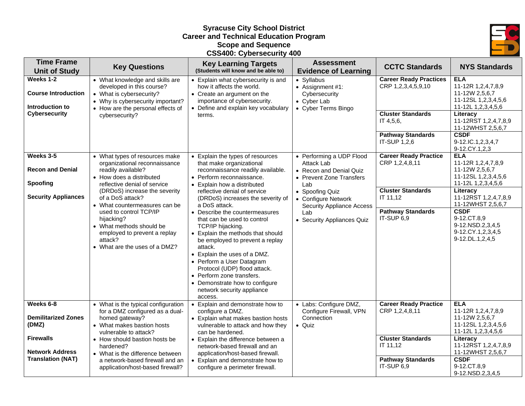# **Syracuse City School District Career and Technical Education Program Scope and Sequence CSS400: Cybersecurity 400**



| <b>Time Frame</b><br><b>Unit of Study</b>                                                                                  | <b>Key Questions</b>                                                                                                                                                                                                                                                                                                                                                                    | <b>Key Learning Targets</b><br>(Students will know and be able to)                                                                                                                                                                                                                                                                                                                                                                                                                                                                                                                                                                | <b>Assessment</b><br><b>Evidence of Learning</b>                                                                                                                                                                        | <b>CCTC Standards</b>                                                                                                                    | <b>NYS Standards</b>                                                                                                                                                                                                                               |
|----------------------------------------------------------------------------------------------------------------------------|-----------------------------------------------------------------------------------------------------------------------------------------------------------------------------------------------------------------------------------------------------------------------------------------------------------------------------------------------------------------------------------------|-----------------------------------------------------------------------------------------------------------------------------------------------------------------------------------------------------------------------------------------------------------------------------------------------------------------------------------------------------------------------------------------------------------------------------------------------------------------------------------------------------------------------------------------------------------------------------------------------------------------------------------|-------------------------------------------------------------------------------------------------------------------------------------------------------------------------------------------------------------------------|------------------------------------------------------------------------------------------------------------------------------------------|----------------------------------------------------------------------------------------------------------------------------------------------------------------------------------------------------------------------------------------------------|
| Weeks 1-2<br><b>Course Introduction</b><br>Introduction to<br><b>Cybersecurity</b>                                         | • What knowledge and skills are<br>developed in this course?<br>• What is cybersecurity?<br>• Why is cybersecurity important?<br>• How are the personal effects of<br>cybersecurity?                                                                                                                                                                                                    | • Explain what cybersecurity is and<br>how it affects the world.<br>• Create an argument on the<br>importance of cybersecurity.<br>• Define and explain key vocabulary<br>terms.                                                                                                                                                                                                                                                                                                                                                                                                                                                  | • Syllabus<br>• Assignment #1:<br>Cybersecurity<br>• Cyber Lab<br>• Cyber Terms Bingo                                                                                                                                   | <b>Career Ready Practices</b><br>CRP 1,2,3,4,5,9,10<br><b>Cluster Standards</b><br>IT 4,5,6,<br><b>Pathway Standards</b><br>IT-SUP 1,2,6 | <b>ELA</b><br>11-12R 1,2,4,7,8,9<br>11-12W 2,5,6,7<br>11-12SL 1,2,3,4,5,6<br>11-12L 1,2,3,4,5,6<br>Literacy<br>11-12RST 1,2,4,7,8,9<br>11-12WHST 2,5,6,7<br><b>CSDF</b><br>9-12.IC.1,2,3,4,7<br>9-12.CY.1,2,3                                      |
| Weeks 3-5<br><b>Recon and Denial</b><br>Spoofing<br><b>Security Appliances</b>                                             | • What types of resources make<br>organizational reconnaissance<br>readily available?<br>• How does a distributed<br>reflective denial of service<br>(DRDoS) increase the severity<br>of a DoS attack?<br>• What countermeasures can be<br>used to control TCP/IP<br>hijacking?<br>• What methods should be<br>employed to prevent a replay<br>attack?<br>• What are the uses of a DMZ? | • Explain the types of resources<br>that make organizational<br>reconnaissance readily available.<br>• Perform reconnaissance.<br>• Explain how a distributed<br>reflective denial of service<br>(DRDoS) increases the severity of<br>a DoS attack.<br>• Describe the countermeasures<br>that can be used to control<br>TCP/IP hijacking.<br>• Explain the methods that should<br>be employed to prevent a replay<br>attack.<br>• Explain the uses of a DMZ.<br>• Perform a User Datagram<br>Protocol (UDP) flood attack.<br>• Perform zone transfers.<br>• Demonstrate how to configure<br>network security appliance<br>access. | • Performing a UDP Flood<br>Attack Lab<br>• Recon and Denial Quiz<br>• Prevent Zone Transfers<br>Lab<br>• Spoofing Quiz<br>• Configure Network<br><b>Security Appliance Access</b><br>Lab<br>• Security Appliances Quiz | <b>Career Ready Practice</b><br>CRP 1,2,4,8,11<br><b>Cluster Standards</b><br>IT 11,12<br><b>Pathway Standards</b><br>IT-SUP 6,9         | <b>ELA</b><br>11-12R 1,2,4,7,8,9<br>11-12W 2,5,6,7<br>11-12SL 1,2,3,4,5,6<br>11-12L 1,2,3,4,5,6<br>Literacy<br>11-12RST 1,2,4,7,8,9<br>11-12WHST 2,5,6,7<br><b>CSDF</b><br>9-12.CT.8,9<br>9-12.NSD.2,3,4,5<br>9-12.CY.1,2,3,4,5<br>9-12.DL.1,2,4,5 |
| Weeks 6-8<br><b>Demilitarized Zones</b><br>(DMZ)<br><b>Firewalls</b><br><b>Network Address</b><br><b>Translation (NAT)</b> | • What is the typical configuration<br>for a DMZ configured as a dual-<br>homed gateway?<br>• What makes bastion hosts<br>vulnerable to attack?<br>• How should bastion hosts be<br>hardened?<br>• What is the difference between<br>a network-based firewall and an<br>application/host-based firewall?                                                                                | • Explain and demonstrate how to<br>configure a DMZ.<br>• Explain what makes bastion hosts<br>vulnerable to attack and how they<br>can be hardened.<br>• Explain the difference between a<br>network-based firewall and an<br>application/host-based firewall.<br>• Explain and demonstrate how to<br>configure a perimeter firewall.                                                                                                                                                                                                                                                                                             | • Labs: Configure DMZ,<br>Configure Firewall, VPN<br>Connection<br>· Quiz                                                                                                                                               | <b>Career Ready Practice</b><br>CRP 1,2,4,8,11<br><b>Cluster Standards</b><br>IT 11,12<br><b>Pathway Standards</b><br>IT-SUP 6,9         | <b>ELA</b><br>11-12R 1,2,4,7,8,9<br>11-12W 2,5,6,7<br>11-12SL 1,2,3,4,5,6<br>11-12L 1,2,3,4,5,6<br>Literacy<br>11-12RST 1,2,4,7,8,9<br>11-12WHST 2,5,6,7<br><b>CSDF</b><br>9-12.CT.8,9<br>9-12.NSD.2,3,4,5                                         |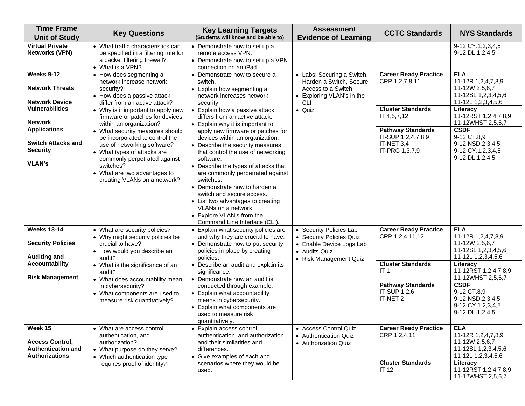| <b>Virtual Private</b><br>9-12.CY.1,2,3,4,5<br>• What traffic characteristics can<br>• Demonstrate how to set up a<br><b>Networks (VPN)</b><br>be specified in a filtering rule for<br>9-12.DL.1,2,4,5<br>remote access VPN.<br>a packet filtering firewall?<br>• Demonstrate how to set up a VPN<br>• What is a VPN?<br>connection on an iPad.<br>Weeks 9-12<br><b>ELA</b><br><b>Career Ready Practice</b><br>• How does segmenting a<br>• Demonstrate how to secure a<br>• Labs: Securing a Switch,<br>CRP 1,2,7,8,11<br>11-12R 1,2,4,7,8,9<br>network increase network<br>switch.<br>Harden a Switch, Secure<br><b>Network Threats</b><br>11-12W 2,5,6,7<br>security?<br>Access to a Switch<br>• Explain how segmenting a<br>11-12SL 1,2,3,4,5,6<br>• How does a passive attack<br>network increases network<br>• Exploring VLAN's in the<br><b>Network Device</b><br>11-12L 1,2,3,4,5,6<br>differ from an active attack?<br><b>CLI</b><br>security.<br><b>Vulnerabilities</b><br><b>Cluster Standards</b><br>Literacy<br>• Quiz<br>• Why is it important to apply new<br>• Explain how a passive attack<br>IT 4,5,7,12<br>firmware or patches for devices<br>differs from an active attack.<br><b>Network</b><br>11-12WHST 2,5,6,7<br>within an organization?<br>• Explain why it is important to<br><b>Applications</b><br><b>CSDF</b><br><b>Pathway Standards</b><br>• What security measures should<br>apply new firmware or patches for<br>9-12.CT.8,9<br>IT-SUP 1,2,4,7,8,9<br>be incorporated to control the<br>devices within an organization.<br><b>Switch Attacks and</b><br>IT-NET 3,4<br>9-12.NSD.2,3,4,5<br>use of networking software?<br>• Describe the security measures<br><b>Security</b><br>IT-PRG 1,3,7,9<br>9-12.CY.1,2,3,4,5<br>• What types of attacks are<br>that control the use of networking<br>9-12.DL.1,2,4,5<br>commonly perpetrated against<br>software.<br><b>VLAN's</b><br>switches?<br>• Describe the types of attacks that<br>• What are two advantages to<br>are commonly perpetrated against<br>creating VLANs on a network?<br>switches.<br>• Demonstrate how to harden a<br>switch and secure access.<br>• List two advantages to creating<br>VLANs on a network.<br>• Explore VLAN's from the<br>Command Line Interface (CLI).<br><b>Weeks 13-14</b><br><b>Career Ready Practice</b><br><b>ELA</b><br>• What are security policies?<br>• Security Policies Lab<br>• Explain what security policies are<br>CRP 1,2,4,11,12<br>11-12R 1,2,4,7,8,9<br>and why they are crucial to have.<br>• Why might security policies be<br>• Security Policies Quiz<br><b>Security Policies</b><br>11-12W 2,5,6,7<br>• Demonstrate how to put security<br>crucial to have?<br>• Enable Device Logs Lab<br>11-12SL 1,2,3,4,5,6<br>policies in place by creating<br>• How would you describe an<br>• Audits Quiz<br><b>Auditing and</b><br>11-12L 1,2,3,4,5,6<br>policies.<br>audit?<br>• Risk Management Quiz<br><b>Accountability</b><br><b>Cluster Standards</b><br>Literacy<br>• Describe an audit and explain its<br>• What is the significance of an<br>IT <sub>1</sub><br>audit?<br>significance.<br><b>Risk Management</b><br>11-12WHST 2,5,6,7<br>• Demonstrate how an audit is<br>• What does accountability mean<br><b>Pathway Standards</b><br><b>CSDF</b><br>in cybersecurity?<br>conducted through example.<br>IT-SUP 1,2,6<br>9-12.CT.8,9<br>• What components are used to<br>• Explain what accountability<br>IT-NET 2<br>9-12.NSD.2,3,4,5<br>means in cybersecurity.<br>measure risk quantitatively?<br>9-12.CY.1,2,3,4,5<br>• Explain what components are<br>9-12.DL.1,2,4,5<br>used to measure risk | <b>Time Frame</b><br><b>Unit of Study</b> | <b>Key Questions</b> | <b>Key Learning Targets</b><br>(Students will know and be able to) | <b>Assessment</b><br><b>Evidence of Learning</b> | <b>CCTC Standards</b> | <b>NYS Standards</b> |
|--------------------------------------------------------------------------------------------------------------------------------------------------------------------------------------------------------------------------------------------------------------------------------------------------------------------------------------------------------------------------------------------------------------------------------------------------------------------------------------------------------------------------------------------------------------------------------------------------------------------------------------------------------------------------------------------------------------------------------------------------------------------------------------------------------------------------------------------------------------------------------------------------------------------------------------------------------------------------------------------------------------------------------------------------------------------------------------------------------------------------------------------------------------------------------------------------------------------------------------------------------------------------------------------------------------------------------------------------------------------------------------------------------------------------------------------------------------------------------------------------------------------------------------------------------------------------------------------------------------------------------------------------------------------------------------------------------------------------------------------------------------------------------------------------------------------------------------------------------------------------------------------------------------------------------------------------------------------------------------------------------------------------------------------------------------------------------------------------------------------------------------------------------------------------------------------------------------------------------------------------------------------------------------------------------------------------------------------------------------------------------------------------------------------------------------------------------------------------------------------------------------------------------------------------------------------------------------------------------------------------------------------------------------------------------------------------------------------------------------------------------------------------------------------------------------------------------------------------------------------------------------------------------------------------------------------------------------------------------------------------------------------------------------------------------------------------------------------------------------------------------------------------------------------------------------------------------------------------------------------------------------------------------------------------------------------------------------------------------------------------------------------------------------------------------------------------------------------------------------------------------------------------------------------------------------------------------------------------------------------------------------------------|-------------------------------------------|----------------------|--------------------------------------------------------------------|--------------------------------------------------|-----------------------|----------------------|
|                                                                                                                                                                                                                                                                                                                                                                                                                                                                                                                                                                                                                                                                                                                                                                                                                                                                                                                                                                                                                                                                                                                                                                                                                                                                                                                                                                                                                                                                                                                                                                                                                                                                                                                                                                                                                                                                                                                                                                                                                                                                                                                                                                                                                                                                                                                                                                                                                                                                                                                                                                                                                                                                                                                                                                                                                                                                                                                                                                                                                                                                                                                                                                                                                                                                                                                                                                                                                                                                                                                                                                                                                                                  |                                           |                      |                                                                    |                                                  |                       |                      |
|                                                                                                                                                                                                                                                                                                                                                                                                                                                                                                                                                                                                                                                                                                                                                                                                                                                                                                                                                                                                                                                                                                                                                                                                                                                                                                                                                                                                                                                                                                                                                                                                                                                                                                                                                                                                                                                                                                                                                                                                                                                                                                                                                                                                                                                                                                                                                                                                                                                                                                                                                                                                                                                                                                                                                                                                                                                                                                                                                                                                                                                                                                                                                                                                                                                                                                                                                                                                                                                                                                                                                                                                                                                  |                                           |                      |                                                                    |                                                  |                       |                      |
|                                                                                                                                                                                                                                                                                                                                                                                                                                                                                                                                                                                                                                                                                                                                                                                                                                                                                                                                                                                                                                                                                                                                                                                                                                                                                                                                                                                                                                                                                                                                                                                                                                                                                                                                                                                                                                                                                                                                                                                                                                                                                                                                                                                                                                                                                                                                                                                                                                                                                                                                                                                                                                                                                                                                                                                                                                                                                                                                                                                                                                                                                                                                                                                                                                                                                                                                                                                                                                                                                                                                                                                                                                                  |                                           |                      |                                                                    |                                                  |                       | 11-12RST 1,2,4,7,8,9 |
|                                                                                                                                                                                                                                                                                                                                                                                                                                                                                                                                                                                                                                                                                                                                                                                                                                                                                                                                                                                                                                                                                                                                                                                                                                                                                                                                                                                                                                                                                                                                                                                                                                                                                                                                                                                                                                                                                                                                                                                                                                                                                                                                                                                                                                                                                                                                                                                                                                                                                                                                                                                                                                                                                                                                                                                                                                                                                                                                                                                                                                                                                                                                                                                                                                                                                                                                                                                                                                                                                                                                                                                                                                                  |                                           |                      |                                                                    |                                                  |                       |                      |
|                                                                                                                                                                                                                                                                                                                                                                                                                                                                                                                                                                                                                                                                                                                                                                                                                                                                                                                                                                                                                                                                                                                                                                                                                                                                                                                                                                                                                                                                                                                                                                                                                                                                                                                                                                                                                                                                                                                                                                                                                                                                                                                                                                                                                                                                                                                                                                                                                                                                                                                                                                                                                                                                                                                                                                                                                                                                                                                                                                                                                                                                                                                                                                                                                                                                                                                                                                                                                                                                                                                                                                                                                                                  |                                           |                      |                                                                    |                                                  |                       |                      |
|                                                                                                                                                                                                                                                                                                                                                                                                                                                                                                                                                                                                                                                                                                                                                                                                                                                                                                                                                                                                                                                                                                                                                                                                                                                                                                                                                                                                                                                                                                                                                                                                                                                                                                                                                                                                                                                                                                                                                                                                                                                                                                                                                                                                                                                                                                                                                                                                                                                                                                                                                                                                                                                                                                                                                                                                                                                                                                                                                                                                                                                                                                                                                                                                                                                                                                                                                                                                                                                                                                                                                                                                                                                  |                                           |                      |                                                                    |                                                  |                       |                      |
|                                                                                                                                                                                                                                                                                                                                                                                                                                                                                                                                                                                                                                                                                                                                                                                                                                                                                                                                                                                                                                                                                                                                                                                                                                                                                                                                                                                                                                                                                                                                                                                                                                                                                                                                                                                                                                                                                                                                                                                                                                                                                                                                                                                                                                                                                                                                                                                                                                                                                                                                                                                                                                                                                                                                                                                                                                                                                                                                                                                                                                                                                                                                                                                                                                                                                                                                                                                                                                                                                                                                                                                                                                                  |                                           |                      |                                                                    |                                                  |                       | 11-12RST 1,2,4,7,8,9 |
|                                                                                                                                                                                                                                                                                                                                                                                                                                                                                                                                                                                                                                                                                                                                                                                                                                                                                                                                                                                                                                                                                                                                                                                                                                                                                                                                                                                                                                                                                                                                                                                                                                                                                                                                                                                                                                                                                                                                                                                                                                                                                                                                                                                                                                                                                                                                                                                                                                                                                                                                                                                                                                                                                                                                                                                                                                                                                                                                                                                                                                                                                                                                                                                                                                                                                                                                                                                                                                                                                                                                                                                                                                                  |                                           |                      | quantitatively.                                                    |                                                  |                       |                      |
| Week 15<br><b>Career Ready Practice</b><br><b>ELA</b><br>• Access Control Quiz<br>• What are access control,<br>• Explain access control,<br>CRP 1,2,4,11<br>11-12R 1,2,4,7,8,9<br>authentication, and authorization<br>authentication, and<br>• Authentication Quiz<br><b>Access Control,</b><br>11-12W 2,5,6,7<br>and their similarities and<br>authorization?<br>• Authorization Quiz<br><b>Authentication and</b><br>11-12SL 1,2,3,4,5,6<br>differences.<br>• What purpose do they serve?<br>11-12L 1,2,3,4,5,6<br><b>Authorizations</b><br>• Give examples of each and<br>• Which authentication type<br><b>Cluster Standards</b><br>Literacy<br>scenarios where they would be<br>requires proof of identity?<br>IT <sub>12</sub><br>used.<br>11-12WHST 2,5,6,7                                                                                                                                                                                                                                                                                                                                                                                                                                                                                                                                                                                                                                                                                                                                                                                                                                                                                                                                                                                                                                                                                                                                                                                                                                                                                                                                                                                                                                                                                                                                                                                                                                                                                                                                                                                                                                                                                                                                                                                                                                                                                                                                                                                                                                                                                                                                                                                                                                                                                                                                                                                                                                                                                                                                                                                                                                                                             |                                           |                      |                                                                    |                                                  |                       | 11-12RST 1,2,4,7,8,9 |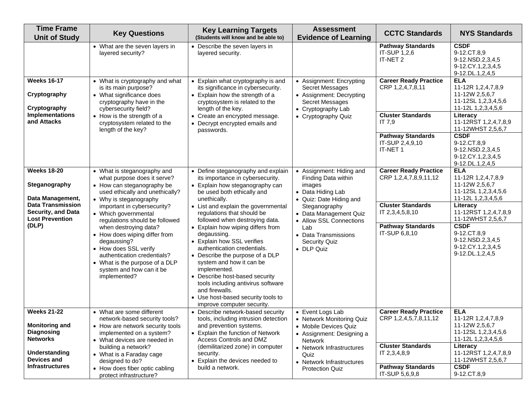| <b>Time Frame</b><br><b>Unit of Study</b>                                                                                                     | <b>Key Questions</b>                                                                                                                                                                                                                                                                                                                                                                                                                                          | <b>Key Learning Targets</b><br>(Students will know and be able to)                                                                                                                                                                                                                                                                                                                                                                                                                                                                                                                                                           | <b>Assessment</b><br><b>Evidence of Learning</b>                                                                                                                                                                                                     | <b>CCTC Standards</b>                                                                                                                             | <b>NYS Standards</b>                                                                                                                                                                                                                               |
|-----------------------------------------------------------------------------------------------------------------------------------------------|---------------------------------------------------------------------------------------------------------------------------------------------------------------------------------------------------------------------------------------------------------------------------------------------------------------------------------------------------------------------------------------------------------------------------------------------------------------|------------------------------------------------------------------------------------------------------------------------------------------------------------------------------------------------------------------------------------------------------------------------------------------------------------------------------------------------------------------------------------------------------------------------------------------------------------------------------------------------------------------------------------------------------------------------------------------------------------------------------|------------------------------------------------------------------------------------------------------------------------------------------------------------------------------------------------------------------------------------------------------|---------------------------------------------------------------------------------------------------------------------------------------------------|----------------------------------------------------------------------------------------------------------------------------------------------------------------------------------------------------------------------------------------------------|
|                                                                                                                                               | • What are the seven layers in<br>layered security?                                                                                                                                                                                                                                                                                                                                                                                                           | • Describe the seven layers in<br>layered security.                                                                                                                                                                                                                                                                                                                                                                                                                                                                                                                                                                          |                                                                                                                                                                                                                                                      | <b>Pathway Standards</b><br>IT-SUP 1,2,6<br>IT-NET 2                                                                                              | <b>CSDF</b><br>9-12.CT.8,9<br>9-12.NSD.2,3,4,5<br>9-12.CY.1,2,3,4,5<br>9-12.DL.1,2,4,5                                                                                                                                                             |
| <b>Weeks 16-17</b><br>Cryptography<br>Cryptography<br><b>Implementations</b><br>and Attacks                                                   | • What is cryptography and what<br>is its main purpose?<br>• What significance does<br>cryptography have in the<br>cybersecurity field?<br>• How is the strength of a<br>cryptosystem related to the<br>length of the key?                                                                                                                                                                                                                                    | • Explain what cryptography is and<br>its significance in cybersecurity.<br>• Explain how the strength of a<br>cryptosystem is related to the<br>length of the key.<br>• Create an encrypted message.<br>• Decrypt encrypted emails and<br>passwords.                                                                                                                                                                                                                                                                                                                                                                        | • Assignment: Encrypting<br>Secret Messages<br>• Assignment: Decrypting<br>Secret Messages<br>• Cryptography Lab<br>• Cryptography Quiz                                                                                                              | <b>Career Ready Practice</b><br>CRP 1,2,4,7,8,11<br><b>Cluster Standards</b><br>IT 7,9<br><b>Pathway Standards</b><br>IT-SUP 2,4,9,10<br>IT-NET 1 | <b>ELA</b><br>11-12R 1,2,4,7,8,9<br>11-12W 2,5,6,7<br>11-12SL 1,2,3,4,5,6<br>11-12L 1,2,3,4,5,6<br>Literacy<br>11-12RST 1,2,4,7,8,9<br>11-12WHST 2,5,6,7<br><b>CSDF</b><br>9-12.CT.8,9<br>9-12.NSD.2,3,4,5<br>9-12.CY.1,2,3,4,5<br>9-12.DL.1,2,4,5 |
| <b>Weeks 18-20</b><br>Steganography<br>Data Management,<br><b>Data Transmission</b><br>Security, and Data<br><b>Lost Prevention</b><br>(DLP)  | • What is steganography and<br>what purpose does it serve?<br>• How can steganography be<br>used ethically and unethically?<br>• Why is steganography<br>important in cybersecurity?<br>• Which governmental<br>regulations should be followed<br>when destroying data?<br>• How does wiping differ from<br>degaussing?<br>• How does SSL verify<br>authentication credentials?<br>• What is the purpose of a DLP<br>system and how can it be<br>implemented? | • Define steganography and explain<br>its importance in cybersecurity.<br>• Explain how steganography can<br>be used both ethically and<br>unethically.<br>• List and explain the governmental<br>regulations that should be<br>followed when destroying data.<br>• Explain how wiping differs from<br>degaussing.<br>• Explain how SSL verifies<br>authentication credentials.<br>• Describe the purpose of a DLP<br>system and how it can be<br>implemented.<br>• Describe host-based security<br>tools including antivirus software<br>and firewalls.<br>• Use host-based security tools to<br>improve computer security. | • Assignment: Hiding and<br>Finding Data within<br>images<br>• Data Hiding Lab<br>• Quiz: Date Hiding and<br>Steganography<br>• Data Management Quiz<br>• Allow SSL Connections<br>Lab<br>• Data Transmissions<br><b>Security Quiz</b><br>• DLP Quiz | <b>Career Ready Practice</b><br>CRP 1,2,4,7,8,9,11,12<br><b>Cluster Standards</b><br>IT 2,3,4,5,8,10<br><b>Pathway Standards</b><br>IT-SUP 6,8,10 | <b>ELA</b><br>11-12R 1,2,4,7,8,9<br>11-12W 2,5,6,7<br>11-12SL 1,2,3,4,5,6<br>11-12L 1,2,3,4,5,6<br>Literacy<br>11-12RST 1,2,4,7,8,9<br>11-12WHST 2,5,6,7<br><b>CSDF</b><br>9-12.CT.8,9<br>9-12.NSD.2,3,4,5<br>9-12.CY.1,2,3,4,5<br>9-12.DL.1,2,4,5 |
| <b>Weeks 21-22</b><br><b>Monitoring and</b><br>Diagnosing<br><b>Networks</b><br><b>Understanding</b><br>Devices and<br><b>Infrastructures</b> | • What are some different<br>network-based security tools?<br>• How are network security tools<br>implemented on a system?<br>• What devices are needed in<br>building a network?<br>• What is a Faraday cage<br>designed to do?<br>• How does fiber optic cabling<br>protect infrastructure?                                                                                                                                                                 | • Describe network-based security<br>tools, including intrusion detection<br>and prevention systems.<br>• Explain the function of Network<br>Access Controls and DMZ<br>(demilitarized zone) in computer<br>security.<br>Explain the devices needed to<br>build a network.                                                                                                                                                                                                                                                                                                                                                   | • Event Logs Lab<br>• Network Monitoring Quiz<br>• Mobile Devices Quiz<br>• Assignment: Designing a<br><b>Network</b><br>• Network Infrastructures<br>Quiz<br>• Network Infrastructures<br><b>Protection Quiz</b>                                    | <b>Career Ready Practice</b><br>CRP 1,2,4,5,7,8,11,12<br><b>Cluster Standards</b><br>IT 2,3,4,8,9<br><b>Pathway Standards</b><br>IT-SUP 5,6,9,8   | <b>ELA</b><br>11-12R 1,2,4,7,8,9<br>11-12W 2,5,6,7<br>11-12SL 1,2,3,4,5,6<br>11-12L 1,2,3,4,5,6<br>Literacy<br>11-12RST 1,2,4,7,8,9<br>11-12WHST 2,5,6,7<br><b>CSDF</b><br>9-12.CT.8,9                                                             |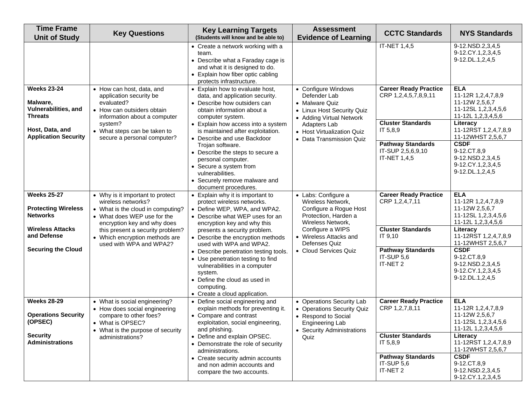| <b>Time Frame</b><br><b>Unit of Study</b>                                | <b>Key Questions</b>                                                                                                                                      | <b>Key Learning Targets</b><br>(Students will know and be able to)                                                                                                                                     | <b>Assessment</b><br><b>Evidence of Learning</b>                                                                                       | <b>CCTC Standards</b>                                         | <b>NYS Standards</b>                                                                            |
|--------------------------------------------------------------------------|-----------------------------------------------------------------------------------------------------------------------------------------------------------|--------------------------------------------------------------------------------------------------------------------------------------------------------------------------------------------------------|----------------------------------------------------------------------------------------------------------------------------------------|---------------------------------------------------------------|-------------------------------------------------------------------------------------------------|
|                                                                          |                                                                                                                                                           | • Create a network working with a<br>team.<br>• Describe what a Faraday cage is<br>and what it is designed to do.<br>• Explain how fiber optic cabling<br>protects infrastructure.                     |                                                                                                                                        | IT-NET 1,4,5                                                  | 9-12.NSD.2,3,4,5<br>9-12.CY.1,2,3,4,5<br>9-12.DL.1,2,4,5                                        |
| <b>Weeks 23-24</b><br>Malware,<br>Vulnerabilities, and<br><b>Threats</b> | • How can host, data, and<br>application security be<br>evaluated?<br>• How can outsiders obtain<br>information about a computer                          | • Explain how to evaluate host,<br>data, and application security.<br>• Describe how outsiders can<br>obtain information about a<br>computer system.                                                   | • Configure Windows<br>Defender Lab<br>• Malware Quiz<br>• Linux Host Security Quiz<br>• Adding Virtual Network                        | <b>Career Ready Practice</b><br>CRP 1,2,4,5,7,8,9,11          | <b>ELA</b><br>11-12R 1,2,4,7,8,9<br>11-12W 2,5,6,7<br>11-12SL 1,2,3,4,5,6<br>11-12L 1,2,3,4,5,6 |
| Host, Data, and<br><b>Application Security</b>                           | system?<br>• What steps can be taken to<br>secure a personal computer?                                                                                    | • Explain how access into a system<br>is maintained after exploitation.<br>• Describe and use Backdoor                                                                                                 | Adapters Lab<br>• Host Virtualization Quiz<br>• Data Transmission Quiz                                                                 | <b>Cluster Standards</b><br>IT 5,8,9                          | Literacy<br>11-12RST 1,2,4,7,8,9<br>11-12WHST 2,5,6,7                                           |
|                                                                          |                                                                                                                                                           | Trojan software.<br>• Describe the steps to secure a<br>personal computer.<br>• Secure a system from<br>vulnerabilities.<br>• Securely remove malware and<br>document procedures.                      |                                                                                                                                        | <b>Pathway Standards</b><br>IT-SUP 2,5,6,9,10<br>IT-NET 1,4,5 | <b>CSDF</b><br>9-12.CT.8,9<br>9-12.NSD.2,3,4,5<br>9-12.CY.1,2,3,4,5<br>9-12.DL.1,2,4,5          |
| <b>Weeks 25-27</b><br><b>Protecting Wireless</b><br><b>Networks</b>      | • Why is it important to protect<br>wireless networks?<br>• What is the cloud in computing?<br>• What does WEP use for the<br>encryption key and why does | • Explain why it is important to<br>protect wireless networks.<br>• Define WEP, WPA, and WPA2.<br>• Describe what WEP uses for an<br>encryption key and why this                                       | • Labs: Configure a<br>Wireless Network,<br>Configure a Rogue Host<br>Protection, Harden a<br>Wireless Network,                        | <b>Career Ready Practice</b><br>CRP 1,2,4,7,11                | <b>ELA</b><br>11-12R 1,2,4,7,8,9<br>11-12W 2,5,6,7<br>11-12SL 1,2,3,4,5,6<br>11-12L 1,2,3,4,5,6 |
| <b>Wireless Attacks</b><br>and Defense                                   | this present a security problem?<br>• Which encryption methods are<br>used with WPA and WPA2?                                                             | presents a security problem.<br>• Describe the encryption methods<br>used with WPA and WPA2.                                                                                                           | Configure a WIPS<br>• Wireless Attacks and<br>Defenses Quiz                                                                            | <b>Cluster Standards</b><br>IT 9,10                           | Literacy<br>11-12RST 1,2,4,7,8,9<br>11-12WHST 2,5,6,7                                           |
| <b>Securing the Cloud</b>                                                |                                                                                                                                                           | • Describe penetration testing tools.<br>• Use penetration testing to find<br>vulnerabilities in a computer<br>system.<br>• Define the cloud as used in<br>computing.<br>• Create a cloud application. | • Cloud Services Quiz                                                                                                                  | <b>Pathway Standards</b><br>IT-SUP 5,6<br>IT-NET 2            | <b>CSDF</b><br>9-12.CT.8,9<br>9-12.NSD.2,3,4,5<br>9-12.CY.1,2,3,4,5<br>9-12.DL.1,2,4,5          |
| <b>Weeks 28-29</b><br><b>Operations Security</b><br>(OPSEC)              | • What is social engineering?<br>• How does social engineering<br>compare to other foes?<br>• What is OPSEC?<br>• What is the purpose of security         | • Define social engineering and<br>explain methods for preventing it.<br>• Compare and contrast<br>exploitation, social engineering,<br>and phishing.                                                  | • Operations Security Lab<br>• Operations Security Quiz<br>• Respond to Social<br><b>Engineering Lab</b><br>• Security Administrations | <b>Career Ready Practice</b><br>CRP 1,2,7,8,11                | <b>ELA</b><br>11-12R 1,2,4,7,8,9<br>11-12W 2,5,6,7<br>11-12SL 1,2,3,4,5,6<br>11-12L 1,2,3,4,5,6 |
| <b>Security</b><br><b>Administrations</b>                                | administrations?                                                                                                                                          | • Define and explain OPSEC.<br>• Demonstrate the role of security<br>administrations.                                                                                                                  | Quiz                                                                                                                                   | <b>Cluster Standards</b><br>IT 5,8,9                          | Literacy<br>11-12RST 1,2,4,7,8,9<br>11-12WHST 2,5,6,7                                           |
|                                                                          |                                                                                                                                                           | • Create security admin accounts<br>and non admin accounts and<br>compare the two accounts.                                                                                                            |                                                                                                                                        | <b>Pathway Standards</b><br>IT-SUP 5,6<br>IT-NET 2            | <b>CSDF</b><br>9-12.CT.8,9<br>9-12.NSD.2,3,4,5<br>9-12.CY.1,2,3,4,5                             |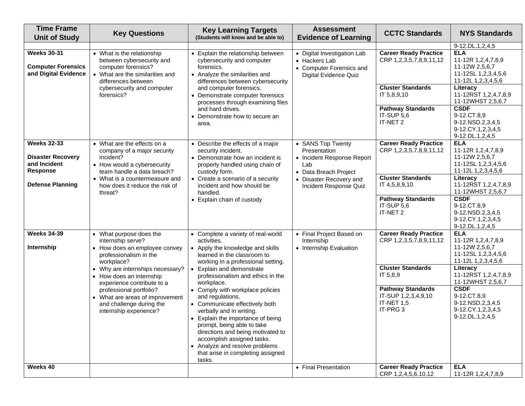| <b>Time Frame</b><br><b>Unit of Study</b>                                         | <b>Key Questions</b>                                                                                                                                                       | <b>Key Learning Targets</b><br>(Students will know and be able to)                                                                                                                                                                                                                                                                                                                           | <b>Assessment</b><br><b>Evidence of Learning</b>                                                  | <b>CCTC Standards</b>                                                                 | <b>NYS Standards</b>                                                                                                                |
|-----------------------------------------------------------------------------------|----------------------------------------------------------------------------------------------------------------------------------------------------------------------------|----------------------------------------------------------------------------------------------------------------------------------------------------------------------------------------------------------------------------------------------------------------------------------------------------------------------------------------------------------------------------------------------|---------------------------------------------------------------------------------------------------|---------------------------------------------------------------------------------------|-------------------------------------------------------------------------------------------------------------------------------------|
|                                                                                   |                                                                                                                                                                            |                                                                                                                                                                                                                                                                                                                                                                                              |                                                                                                   |                                                                                       | 9-12.DL.1,2,4,5                                                                                                                     |
| <b>Weeks 30-31</b><br><b>Computer Forensics</b><br>and Digital Evidence           | • What is the relationship<br>between cybersecurity and<br>computer forensics?<br>• What are the similarities and<br>differences between                                   | • Explain the relationship between<br>cybersecurity and computer<br>forensics.<br>• Analyze the similarities and<br>differences between cybersecurity<br>and computer forensics.<br>• Demonstrate computer forensics<br>processes through examining files<br>and hard drives.<br>• Demonstrate how to secure an<br>area.                                                                     | • Digital Investigation Lab<br>• Hackers Lab<br>• Computer Forensics and<br>Digital Evidence Quiz | <b>Career Ready Practice</b><br>CRP 1,2,3,5,7,8,9,11,12                               | <b>ELA</b><br>11-12R 1,2,4,7,8,9<br>11-12W 2,5,6,7<br>11-12SL 1,2,3,4,5,6<br>11-12L 1,2,3,4,5,6                                     |
|                                                                                   | cybersecurity and computer<br>forensics?                                                                                                                                   |                                                                                                                                                                                                                                                                                                                                                                                              |                                                                                                   | <b>Cluster Standards</b><br>IT 5,8,9,10<br><b>Pathway Standards</b>                   | Literacy<br>11-12RST 1,2,4,7,8,9<br>11-12WHST 2,5,6,7<br><b>CSDF</b>                                                                |
|                                                                                   |                                                                                                                                                                            |                                                                                                                                                                                                                                                                                                                                                                                              |                                                                                                   | IT-SUP 5,6<br>IT-NET 2                                                                | 9-12.CT.8,9<br>9-12.NSD.2,3,4,5<br>9-12.CY.1,2,3,4,5<br>9-12.DL.1,2,4,5                                                             |
| <b>Weeks 32-33</b><br><b>Disaster Recovery</b><br>and Incident<br><b>Response</b> | • What are the effects on a<br>company of a major security<br>incident?<br>• How would a cybersecurity<br>team handle a data breach?                                       | • Describe the effects of a major<br>security incident.<br>• Demonstrate how an incident is<br>properly handled using chain of<br>custody form.                                                                                                                                                                                                                                              | • SANS Top Twenty<br>Presentation<br>• Incident Response Report<br>Lab<br>• Data Breach Project   | <b>Career Ready Practice</b><br>CRP 1,2,3,5,7,8,9,11,12                               | <b>ELA</b><br>11-12R 1,2,4,7,8,9<br>11-12W 2,5,6,7<br>11-12SL 1,2,3,4,5,6<br>11-12L 1,2,3,4,5,6                                     |
| <b>Defense Planning</b>                                                           | • What is a countermeasure and<br>how does it reduce the risk of<br>threat?                                                                                                | • Create a scenario of a security<br>incident and how should be<br>handled.                                                                                                                                                                                                                                                                                                                  | • Disaster Recovery and<br>Incident Response Quiz                                                 | <b>Cluster Standards</b><br>IT 4,5,8,9,10                                             | Literacy<br>11-12RST 1,2,4,7,8,9<br>11-12WHST 2,5,6,7                                                                               |
|                                                                                   |                                                                                                                                                                            | • Explain chain of custody                                                                                                                                                                                                                                                                                                                                                                   |                                                                                                   | <b>Pathway Standards</b><br>IT-SUP 5,6<br>IT-NET 2                                    | <b>CSDF</b><br>9-12.CT.8,9<br>9-12.NSD.2,3,4,5<br>9-12.CY.1,2,3,4,5<br>9-12.DL.1,2,4,5                                              |
| <b>Weeks 34-39</b><br>Internship                                                  | • What purpose does the<br>internship serve?<br>• How does an employee convey<br>professionalism in the<br>workplace?<br>Why are internships necessary?<br>$\bullet$       | • Complete a variety of real-world<br>activities.<br>• Apply the knowledge and skills<br>learned in the classroom to<br>working in a professional setting.<br>Explain and demonstrate                                                                                                                                                                                                        | • Final Project Based on<br>Internship<br>• Internship Evaluation                                 | <b>Career Ready Practice</b><br>CRP 1,2,3,5,7,8,9,11,12<br><b>Cluster Standards</b>   | <b>ELA</b><br>11-12R 1,2,4,7,8,9<br>11-12W 2,5,6,7<br>11-12SL 1,2,3,4,5,6<br>11-12L 1,2,3,4,5,6<br>Literacy                         |
|                                                                                   | • How does an internship<br>experience contribute to a<br>professional portfolio?<br>• What are areas of improvement<br>and challenge during the<br>internship experience? | professionalism and ethics in the<br>workplace.<br>• Comply with workplace policies<br>and regulations.<br>• Communicate effectively both<br>verbally and in writing.<br>• Explain the importance of being<br>prompt, being able to take<br>directions and being motivated to<br>accomplish assigned tasks.<br>• Analyze and resolve problems<br>that arise in completing assigned<br>tasks. |                                                                                                   | IT 5,8,9<br><b>Pathway Standards</b><br>IT-SUP 1,2,3,4,9,10<br>IT-NET 1,5<br>IT-PRG 3 | 11-12RST 1,2,4,7,8,9<br>11-12WHST 2,5,6,7<br><b>CSDF</b><br>9-12.CT.8,9<br>9-12.NSD.2,3,4,5<br>9-12.CY.1,2,3,4,5<br>9-12.DL.1,2,4,5 |
| Weeks 40                                                                          |                                                                                                                                                                            |                                                                                                                                                                                                                                                                                                                                                                                              | • Final Presentation                                                                              | <b>Career Ready Practice</b><br>CRP 1,2,4,5,6,10,12                                   | <b>ELA</b><br>11-12R 1,2,4,7,8,9                                                                                                    |